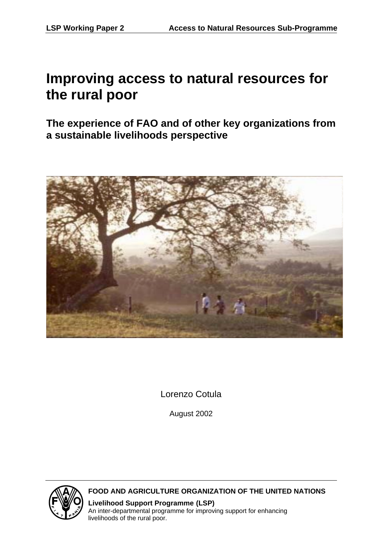# **Improving access to natural resources for the rural poor**

**The experience of FAO and of other key organizations from a sustainable livelihoods perspective** 



Lorenzo Cotula

August 2002



**FOOD AND AGRICULTURE ORGANIZATION OF THE UNITED NATIONS**

**Livelihood Support Programme (LSP)** An inter-departmental programme for improving support for enhancing livelihoods of the rural poor.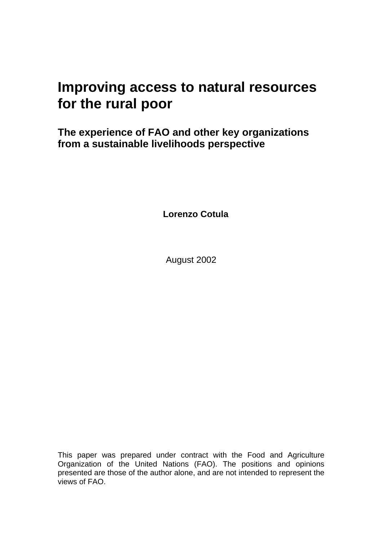# **Improving access to natural resources for the rural poor**

**The experience of FAO and other key organizations from a sustainable livelihoods perspective** 

**Lorenzo Cotula** 

August 2002

This paper was prepared under contract with the Food and Agriculture Organization of the United Nations (FAO). The positions and opinions presented are those of the author alone, and are not intended to represent the views of FAO.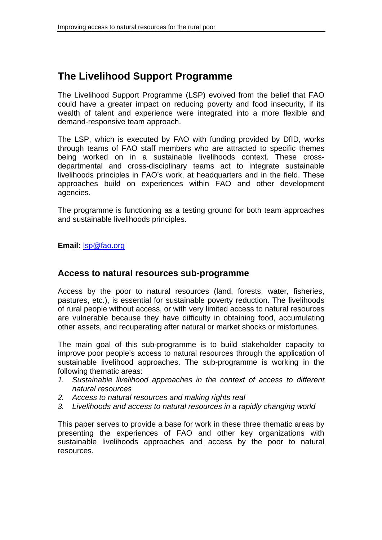# **The Livelihood Support Programme**

The Livelihood Support Programme (LSP) evolved from the belief that FAO could have a greater impact on reducing poverty and food insecurity, if its wealth of talent and experience were integrated into a more flexible and demand-responsive team approach.

The LSP, which is executed by FAO with funding provided by DfID, works through teams of FAO staff members who are attracted to specific themes being worked on in a sustainable livelihoods context. These crossdepartmental and cross-disciplinary teams act to integrate sustainable livelihoods principles in FAO's work, at headquarters and in the field. These approaches build on experiences within FAO and other development agencies.

The programme is functioning as a testing ground for both team approaches and sustainable livelihoods principles.

**Email:** lsp@fao.org

## **Access to natural resources sub-programme**

Access by the poor to natural resources (land, forests, water, fisheries, pastures, etc.), is essential for sustainable poverty reduction. The livelihoods of rural people without access, or with very limited access to natural resources are vulnerable because they have difficulty in obtaining food, accumulating other assets, and recuperating after natural or market shocks or misfortunes.

The main goal of this sub-programme is to build stakeholder capacity to improve poor people's access to natural resources through the application of sustainable livelihood approaches. The sub-programme is working in the following thematic areas:

- *1. Sustainable livelihood approaches in the context of access to different natural resources*
- *2. Access to natural resources and making rights real*
- *3. Livelihoods and access to natural resources in a rapidly changing world*

This paper serves to provide a base for work in these three thematic areas by presenting the experiences of FAO and other key organizations with sustainable livelihoods approaches and access by the poor to natural resources.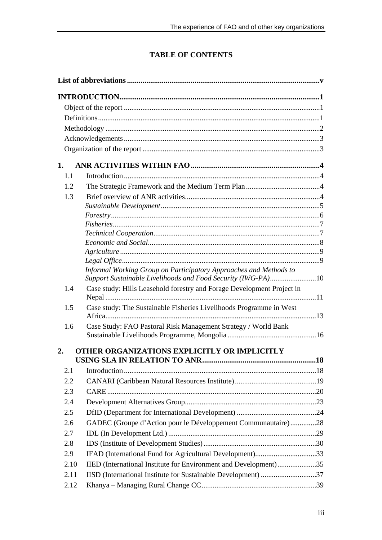# **TABLE OF CONTENTS**

| 1.   |                                                                                                                                   |  |
|------|-----------------------------------------------------------------------------------------------------------------------------------|--|
| 1.1  |                                                                                                                                   |  |
| 1.2  |                                                                                                                                   |  |
| 1.3  |                                                                                                                                   |  |
|      |                                                                                                                                   |  |
|      |                                                                                                                                   |  |
|      |                                                                                                                                   |  |
|      |                                                                                                                                   |  |
|      |                                                                                                                                   |  |
|      |                                                                                                                                   |  |
|      |                                                                                                                                   |  |
|      | Informal Working Group on Participatory Approaches and Methods to<br>Support Sustainable Livelihoods and Food Security (IWG-PA)10 |  |
| 1.4  | Case study: Hills Leasehold forestry and Forage Development Project in                                                            |  |
| 1.5  | Case study: The Sustainable Fisheries Livelihoods Programme in West                                                               |  |
| 1.6  | Case Study: FAO Pastoral Risk Management Strategy / World Bank                                                                    |  |
|      |                                                                                                                                   |  |
| 2.   | OTHER ORGANIZATIONS EXPLICITLY OR IMPLICITLY                                                                                      |  |
| 2.1  |                                                                                                                                   |  |
| 2.2  |                                                                                                                                   |  |
|      |                                                                                                                                   |  |
| 2.3  |                                                                                                                                   |  |
| 2.4  |                                                                                                                                   |  |
| 2.5  |                                                                                                                                   |  |
| 2.6  | GADEC (Groupe d'Action pour le Développement Communautaire)28                                                                     |  |
| 2.7  |                                                                                                                                   |  |
| 2.8  |                                                                                                                                   |  |
| 2.9  | IFAD (International Fund for Agricultural Development)33                                                                          |  |
| 2.10 | IIED (International Institute for Environment and Development)35                                                                  |  |
| 2.11 | IISD (International Institute for Sustainable Development) 37                                                                     |  |
| 2.12 |                                                                                                                                   |  |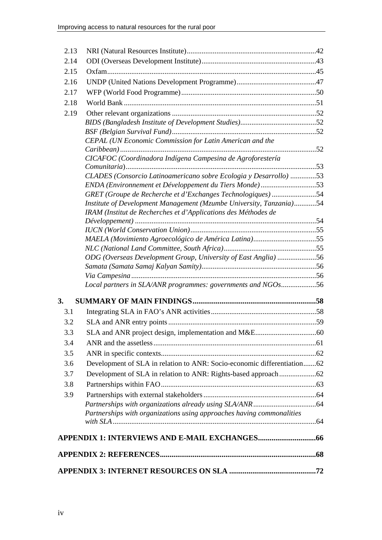| 2.13 |                                                                         |  |
|------|-------------------------------------------------------------------------|--|
| 2.14 |                                                                         |  |
| 2.15 |                                                                         |  |
| 2.16 |                                                                         |  |
| 2.17 |                                                                         |  |
| 2.18 |                                                                         |  |
| 2.19 |                                                                         |  |
|      |                                                                         |  |
|      |                                                                         |  |
|      | CEPAL (UN Economic Commission for Latin American and the                |  |
|      |                                                                         |  |
|      | CICAFOC (Coordinadora Indígena Campesina de Agroforestería              |  |
|      | CLADES (Consorcio Latinoamericano sobre Ecologia y Desarrollo) 53       |  |
|      | ENDA (Environnement et Développement du Tiers Monde)53                  |  |
|      | GRET (Groupe de Recherche et d'Exchanges Technologiques) 54             |  |
|      | Institute of Development Management (Mzumbe University, Tanzania)54     |  |
|      | IRAM (Institut de Recherches et d'Applications des Méthodes de          |  |
|      |                                                                         |  |
|      |                                                                         |  |
|      |                                                                         |  |
|      |                                                                         |  |
|      | ODG (Overseas Development Group, University of East Anglia) 56          |  |
|      |                                                                         |  |
|      | Local partners in SLA/ANR programmes: governments and NGOs56            |  |
|      |                                                                         |  |
| 3.   |                                                                         |  |
| 3.1  |                                                                         |  |
| 3.2  |                                                                         |  |
| 3.3  |                                                                         |  |
| 3.4  |                                                                         |  |
| 3.5  |                                                                         |  |
| 3.6  | Development of SLA in relation to ANR: Socio-economic differentiation62 |  |
| 3.7  |                                                                         |  |
| 3.8  |                                                                         |  |
| 3.9  |                                                                         |  |
|      |                                                                         |  |
|      | Partnerships with organizations using approaches having commonalities   |  |
|      |                                                                         |  |
|      |                                                                         |  |
|      |                                                                         |  |
|      |                                                                         |  |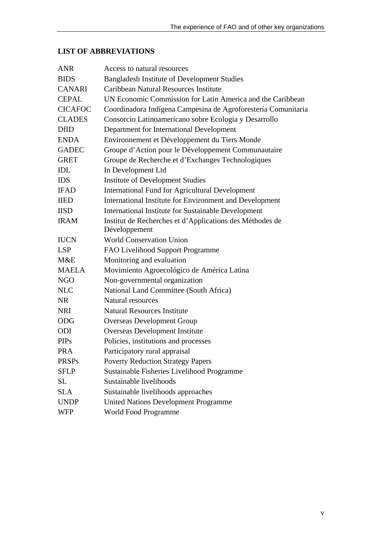# **LIST OF ABBREVIATIONS**

| <b>ANR</b>     | Access to natural resources                                   |
|----------------|---------------------------------------------------------------|
| <b>BIDS</b>    | <b>Bangladesh Institute of Development Studies</b>            |
| <b>CANARI</b>  | Caribbean Natural Resources Institute                         |
| <b>CEPAL</b>   | UN Economic Commission for Latin America and the Caribbean    |
| <b>CICAFOC</b> | Coordinadora Indígena Campesina de Agroforestería Comunitaria |
| <b>CLADES</b>  | Consorcio Latinoamericano sobre Ecologia y Desarrollo         |
| <b>DfID</b>    | Department for International Development                      |
| <b>ENDA</b>    | Environnement et Développement du Tiers Monde                 |
| <b>GADEC</b>   | Groupe d'Action pour le Développement Communautaire           |
| <b>GRET</b>    | Groupe de Recherche et d'Exchanges Technologiques             |
| IDL            | In Development Ltd                                            |
| <b>IDS</b>     | <b>Institute of Development Studies</b>                       |
| <b>IFAD</b>    | <b>International Fund for Agricultural Development</b>        |
| <b>IIED</b>    | International Institute for Environment and Development       |
| <b>IISD</b>    | <b>International Institute for Sustainable Development</b>    |
| <b>IRAM</b>    | Institut de Recherches et d'Applications des Méthodes de      |
|                | Développement                                                 |
| <b>IUCN</b>    | <b>World Conservation Union</b>                               |
| <b>LSP</b>     | FAO Livelihood Support Programme                              |
| M&E            | Monitoring and evaluation                                     |
| <b>MAELA</b>   | Movimiento Agroecológico de América Latina                    |
| <b>NGO</b>     | Non-governmental organization                                 |
| <b>NLC</b>     | National Land Committee (South Africa)                        |
| <b>NR</b>      | <b>Natural resources</b>                                      |
| <b>NRI</b>     | <b>Natural Resources Institute</b>                            |
| <b>ODG</b>     | <b>Overseas Development Group</b>                             |
| ODI            | <b>Overseas Development Institute</b>                         |
| <b>PIPs</b>    | Policies, institutions and processes                          |
| <b>PRA</b>     | Participatory rural appraisal                                 |
| <b>PRSPs</b>   | <b>Poverty Reduction Strategy Papers</b>                      |
| <b>SFLP</b>    | Sustainable Fisheries Livelihood Programme                    |
| SL             | Sustainable livelihoods                                       |
| <b>SLA</b>     | Sustainable livelihoods approaches                            |
| <b>UNDP</b>    | <b>United Nations Development Programme</b>                   |
| <b>WFP</b>     | World Food Programme                                          |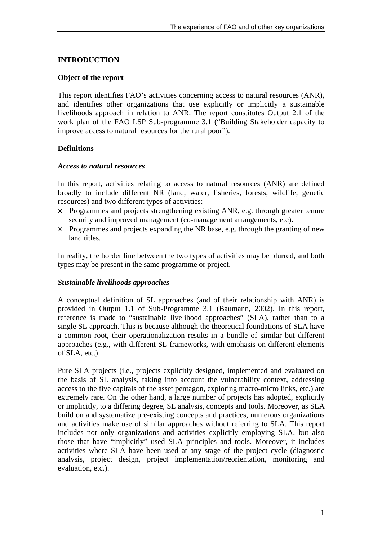## **INTRODUCTION**

#### **Object of the report**

This report identifies FAO's activities concerning access to natural resources (ANR), and identifies other organizations that use explicitly or implicitly a sustainable livelihoods approach in relation to ANR. The report constitutes Output 2.1 of the work plan of the FAO LSP Sub-programme 3.1 ("Building Stakeholder capacity to improve access to natural resources for the rural poor").

## **Definitions**

#### *Access to natural resources*

In this report, activities relating to access to natural resources (ANR) are defined broadly to include different NR (land, water, fisheries, forests, wildlife, genetic resources) and two different types of activities:

- $\epsilon$  Programmes and projects strengthening existing ANR, e.g. through greater tenure security and improved management (co-management arrangements, etc).
- $\epsilon$  Programmes and projects expanding the NR base, e.g. through the granting of new land titles.

In reality, the border line between the two types of activities may be blurred, and both types may be present in the same programme or project.

#### *Sustainable livelihoods approaches*

A conceptual definition of SL approaches (and of their relationship with ANR) is provided in Output 1.1 of Sub-Programme 3.1 (Baumann, 2002). In this report, reference is made to "sustainable livelihood approaches" (SLA), rather than to a single SL approach. This is because although the theoretical foundations of SLA have a common root, their operationalization results in a bundle of similar but different approaches (e.g., with different SL frameworks, with emphasis on different elements of SLA, etc.).

Pure SLA projects (i.e., projects explicitly designed, implemented and evaluated on the basis of SL analysis, taking into account the vulnerability context, addressing access to the five capitals of the asset pentagon, exploring macro-micro links, etc.) are extremely rare. On the other hand, a large number of projects has adopted, explicitly or implicitly, to a differing degree, SL analysis, concepts and tools. Moreover, as SLA build on and systematize pre-existing concepts and practices, numerous organizations and activities make use of similar approaches without referring to SLA. This report includes not only organizations and activities explicitly employing SLA, but also those that have "implicitly" used SLA principles and tools. Moreover, it includes activities where SLA have been used at any stage of the project cycle (diagnostic analysis, project design, project implementation/reorientation, monitoring and evaluation, etc.).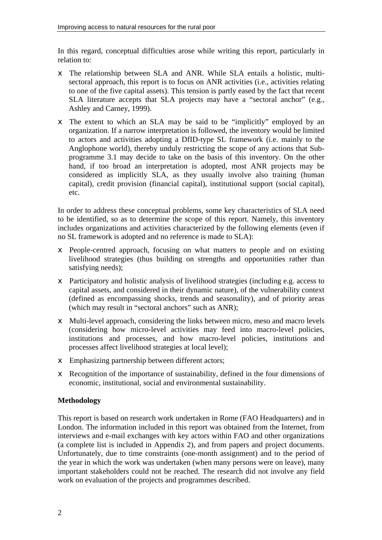In this regard, conceptual difficulties arose while writing this report, particularly in relation to:

- $\neq$  The relationship between SLA and ANR. While SLA entails a holistic, multisectoral approach, this report is to focus on ANR activities (i.e., activities relating to one of the five capital assets). This tension is partly eased by the fact that recent SLA literature accepts that SLA projects may have a "sectoral anchor" (e.g., Ashley and Carney, 1999).
- $\epsilon$  The extent to which an SLA may be said to be "implicitly" employed by an organization. If a narrow interpretation is followed, the inventory would be limited to actors and activities adopting a DfID-type SL framework (i.e. mainly to the Anglophone world), thereby unduly restricting the scope of any actions that Subprogramme 3.1 may decide to take on the basis of this inventory. On the other hand, if too broad an interpretation is adopted, most ANR projects may be considered as implicitly SLA, as they usually involve also training (human capital), credit provision (financial capital), institutional support (social capital), etc.

In order to address these conceptual problems, some key characteristics of SLA need to be identified, so as to determine the scope of this report. Namely, this inventory includes organizations and activities characterized by the following elements (even if no SL framework is adopted and no reference is made to SLA):

- $\epsilon$  People-centred approach, focusing on what matters to people and on existing livelihood strategies (thus building on strengths and opportunities rather than satisfying needs);
- $\epsilon$  Participatory and holistic analysis of livelihood strategies (including e.g. access to capital assets, and considered in their dynamic nature), of the vulnerability context (defined as encompassing shocks, trends and seasonality), and of priority areas (which may result in "sectoral anchors" such as ANR);
- $\neq$  Multi-level approach, considering the links between micro, meso and macro levels (considering how micro-level activities may feed into macro-level policies, institutions and processes, and how macro-level policies, institutions and processes affect livelihood strategies at local level);
- $\epsilon$  Emphasizing partnership between different actors;
- $\epsilon$  Recognition of the importance of sustainability, defined in the four dimensions of economic, institutional, social and environmental sustainability.

## **Methodology**

This report is based on research work undertaken in Rome (FAO Headquarters) and in London. The information included in this report was obtained from the Internet, from interviews and e-mail exchanges with key actors within FAO and other organizations (a complete list is included in Appendix 2), and from papers and project documents. Unfortunately, due to time constraints (one-month assignment) and to the period of the year in which the work was undertaken (when many persons were on leave), many important stakeholders could not be reached. The research did not involve any field work on evaluation of the projects and programmes described.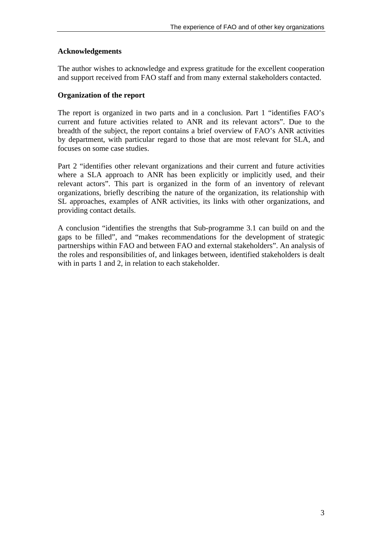## **Acknowledgements**

The author wishes to acknowledge and express gratitude for the excellent cooperation and support received from FAO staff and from many external stakeholders contacted.

## **Organization of the report**

The report is organized in two parts and in a conclusion. Part 1 "identifies FAO's current and future activities related to ANR and its relevant actors". Due to the breadth of the subject, the report contains a brief overview of FAO's ANR activities by department, with particular regard to those that are most relevant for SLA, and focuses on some case studies.

Part 2 "identifies other relevant organizations and their current and future activities where a SLA approach to ANR has been explicitly or implicitly used, and their relevant actors". This part is organized in the form of an inventory of relevant organizations, briefly describing the nature of the organization, its relationship with SL approaches, examples of ANR activities, its links with other organizations, and providing contact details.

A conclusion "identifies the strengths that Sub-programme 3.1 can build on and the gaps to be filled", and "makes recommendations for the development of strategic partnerships within FAO and between FAO and external stakeholders". An analysis of the roles and responsibilities of, and linkages between, identified stakeholders is dealt with in parts 1 and 2, in relation to each stakeholder.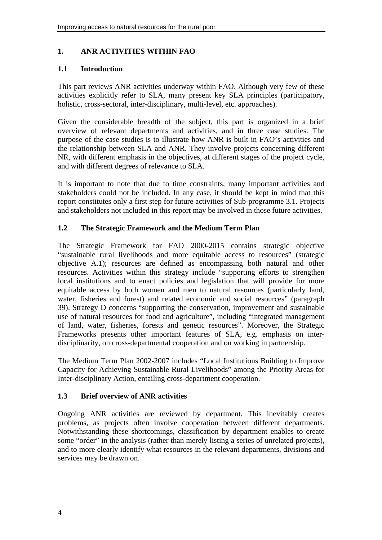## **1. ANR ACTIVITIES WITHIN FAO**

## **1.1 Introduction**

This part reviews ANR activities underway within FAO. Although very few of these activities explicitly refer to SLA, many present key SLA principles (participatory, holistic, cross-sectoral, inter-disciplinary, multi-level, etc. approaches).

Given the considerable breadth of the subject, this part is organized in a brief overview of relevant departments and activities, and in three case studies. The purpose of the case studies is to illustrate how ANR is built in FAO's activities and the relationship between SLA and ANR. They involve projects concerning different NR, with different emphasis in the objectives, at different stages of the project cycle, and with different degrees of relevance to SLA.

It is important to note that due to time constraints, many important activities and stakeholders could not be included. In any case, it should be kept in mind that this report constitutes only a first step for future activities of Sub-programme 3.1. Projects and stakeholders not included in this report may be involved in those future activities.

## **1.2 The Strategic Framework and the Medium Term Plan**

The Strategic Framework for FAO 2000-2015 contains strategic objective "sustainable rural livelihoods and more equitable access to resources" (strategic objective A.1); resources are defined as encompassing both natural and other resources. Activities within this strategy include "supporting efforts to strengthen local institutions and to enact policies and legislation that will provide for more equitable access by both women and men to natural resources (particularly land, water, fisheries and forest) and related economic and social resources" (paragraph 39). Strategy D concerns "supporting the conservation, improvement and sustainable use of natural resources for food and agriculture", including "integrated management of land, water, fisheries, forests and genetic resources". Moreover, the Strategic Frameworks presents other important features of SLA, e.g. emphasis on interdisciplinarity, on cross-departmental cooperation and on working in partnership.

The Medium Term Plan 2002-2007 includes "Local Institutions Building to Improve Capacity for Achieving Sustainable Rural Livelihoods" among the Priority Areas for Inter-disciplinary Action, entailing cross-department cooperation.

## **1.3 Brief overview of ANR activities**

Ongoing ANR activities are reviewed by department. This inevitably creates problems, as projects often involve cooperation between different departments. Notwithstanding these shortcomings, classification by department enables to create some "order" in the analysis (rather than merely listing a series of unrelated projects), and to more clearly identify what resources in the relevant departments, divisions and services may be drawn on.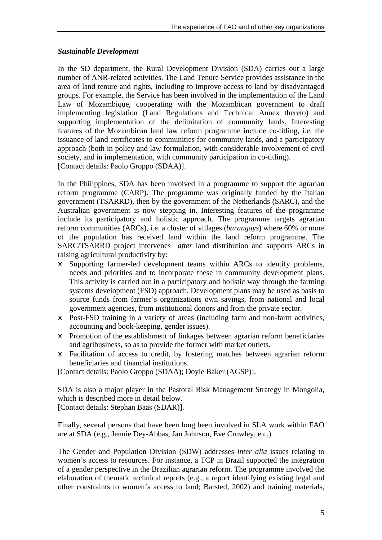#### *Sustainable Development*

In the SD department, the Rural Development Division (SDA) carries out a large number of ANR-related activities. The Land Tenure Service provides assistance in the area of land tenure and rights, including to improve access to land by disadvantaged groups. For example, the Service has been involved in the implementation of the Land Law of Mozambique, cooperating with the Mozambican government to draft implementing legislation (Land Regulations and Technical Annex thereto) and supporting implementation of the delimitation of community lands. Interesting features of the Mozambican land law reform programme include co-titling, i.e. the issuance of land certificates to communities for community lands, and a participatory approach (both in policy and law formulation, with considerable involvement of civil society, and in implementation, with community participation in co-titling). [Contact details: Paolo Groppo (SDAA)].

In the Philippines, SDA has been involved in a programme to support the agrarian reform programme (CARP). The programme was originally funded by the Italian government (TSARRD), then by the government of the Netherlands (SARC), and the Australian government is now stepping in. Interesting features of the programme include its participatory and holistic approach. The programme targets agrarian reform communities (ARCs), i.e. a cluster of villages (*barangays*) where 60% or more of the population has received land within the land reform programme. The SARC/TSARRD project intervenes *after* land distribution and supports ARCs in raising agricultural productivity by:

- $\epsilon$  Supporting farmer-led development teams within ARCs to identify problems, needs and priorities and to incorporate these in community development plans. This activity is carried out in a participatory and holistic way through the farming systems development (FSD) approach. Development plans may be used as basis to source funds from farmer's organizations own savings, from national and local government agencies, from institutional donors and from the private sector.
- $\epsilon$  Post-FSD training in a variety of areas (including farm and non-farm activities, accounting and book-keeping, gender issues).
- $\epsilon$  Promotion of the establishment of linkages between agrarian reform beneficiaries and agribusiness, so as to provide the former with market outlets.
- $\epsilon$  Facilitation of access to credit, by fostering matches between agrarian reform beneficiaries and financial institutions.

[Contact details: Paolo Groppo (SDAA); Doyle Baker (AGSP)].

SDA is also a major player in the Pastoral Risk Management Strategy in Mongolia, which is described more in detail below.

[Contact details: Stephan Baas (SDAR)].

Finally, several persons that have been long been involved in SLA work within FAO are at SDA (e.g., Jennie Dey-Abbas, Jan Johnson, Eve Crowley, etc.).

The Gender and Population Division (SDW) addresses *inter alia* issues relating to women's access to resources. For instance, a TCP in Brazil supported the integration of a gender perspective in the Brazilian agrarian reform. The programme involved the elaboration of thematic technical reports (e.g., a report identifying existing legal and other constraints to women's access to land; Barsted, 2002) and training materials,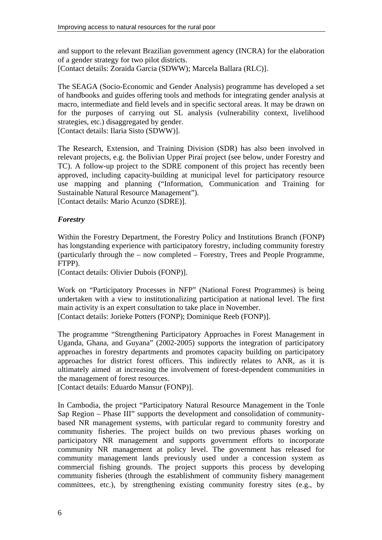and support to the relevant Brazilian government agency (INCRA) for the elaboration of a gender strategy for two pilot districts. [Contact details: Zoraida Garcia (SDWW); Marcela Ballara (RLC)].

The SEAGA (Socio-Economic and Gender Analysis) programme has developed a set of handbooks and guides offering tools and methods for integrating gender analysis at macro, intermediate and field levels and in specific sectoral areas. It may be drawn on for the purposes of carrying out SL analysis (vulnerability context, livelihood strategies, etc.) disaggregated by gender.

[Contact details: Ilaria Sisto (SDWW)].

The Research, Extension, and Training Division (SDR) has also been involved in relevant projects, e.g. the Bolivian Upper Piraí project (see below, under Forestry and TC). A follow-up project to the SDRE component of this project has recently been approved, including capacity-building at municipal level for participatory resource use mapping and planning ("Information, Communication and Training for Sustainable Natural Resource Management").

[Contact details: Mario Acunzo (SDRE)].

## *Forestry*

Within the Forestry Department, the Forestry Policy and Institutions Branch (FONP) has longstanding experience with participatory forestry, including community forestry (particularly through the – now completed – Forestry, Trees and People Programme, FTPP).

[Contact details: Olivier Dubois (FONP)].

Work on "Participatory Processes in NFP" (National Forest Programmes) is being undertaken with a view to institutionalizing participation at national level. The first main activity is an expert consultation to take place in November. [Contact details: Jorieke Potters (FONP); Dominique Reeb (FONP)].

The programme "Strengthening Participatory Approaches in Forest Management in Uganda, Ghana, and Guyana" (2002-2005) supports the integration of participatory approaches in forestry departments and promotes capacity building on participatory approaches for district forest officers. This indirectly relates to ANR, as it is ultimately aimed at increasing the involvement of forest-dependent communities in the management of forest resources.

[Contact details: Eduardo Mansur (FONP)].

In Cambodia, the project "Participatory Natural Resource Management in the Tonle Sap Region – Phase III" supports the development and consolidation of communitybased NR management systems, with particular regard to community forestry and community fisheries. The project builds on two previous phases working on participatory NR management and supports government efforts to incorporate community NR management at policy level. The government has released for community management lands previously used under a concession system as commercial fishing grounds. The project supports this process by developing community fisheries (through the establishment of community fishery management committees, etc.), by strengthening existing community forestry sites (e.g., by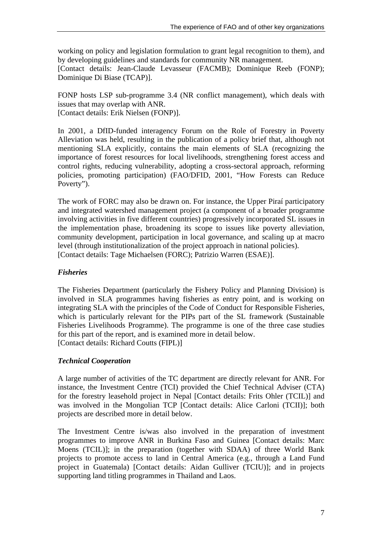working on policy and legislation formulation to grant legal recognition to them), and by developing guidelines and standards for community NR management. [Contact details: Jean-Claude Levasseur (FACMB); Dominique Reeb (FONP); Dominique Di Biase (TCAP)].

FONP hosts LSP sub-programme 3.4 (NR conflict management), which deals with issues that may overlap with ANR. [Contact details: Erik Nielsen (FONP)].

In 2001, a DfID-funded interagency Forum on the Role of Forestry in Poverty Alleviation was held, resulting in the publication of a policy brief that, although not mentioning SLA explicitly, contains the main elements of SLA (recognizing the importance of forest resources for local livelihoods, strengthening forest access and control rights, reducing vulnerability, adopting a cross-sectoral approach, reforming policies, promoting participation) (FAO/DFID, 2001, "How Forests can Reduce Poverty").

The work of FORC may also be drawn on. For instance, the Upper Piraí participatory and integrated watershed management project (a component of a broader programme involving activities in five different countries) progressively incorporated SL issues in the implementation phase, broadening its scope to issues like poverty alleviation, community development, participation in local governance, and scaling up at macro level (through institutionalization of the project approach in national policies). [Contact details: Tage Michaelsen (FORC); Patrizio Warren (ESAE)].

## *Fisheries*

The Fisheries Department (particularly the Fishery Policy and Planning Division) is involved in SLA programmes having fisheries as entry point, and is working on integrating SLA with the principles of the Code of Conduct for Responsible Fisheries, which is particularly relevant for the PIPs part of the SL framework (Sustainable Fisheries Livelihoods Programme). The programme is one of the three case studies for this part of the report, and is examined more in detail below. [Contact details: Richard Coutts (FIPL)]

## *Technical Cooperation*

A large number of activities of the TC department are directly relevant for ANR. For instance, the Investment Centre (TCI) provided the Chief Technical Adviser (CTA) for the forestry leasehold project in Nepal [Contact details: Frits Ohler (TCIL)] and was involved in the Mongolian TCP [Contact details: Alice Carloni (TCII)]; both projects are described more in detail below.

The Investment Centre is/was also involved in the preparation of investment programmes to improve ANR in Burkina Faso and Guinea [Contact details: Marc Moens (TCIL)]; in the preparation (together with SDAA) of three World Bank projects to promote access to land in Central America (e.g., through a Land Fund project in Guatemala) [Contact details: Aidan Gulliver (TCIU)]; and in projects supporting land titling programmes in Thailand and Laos.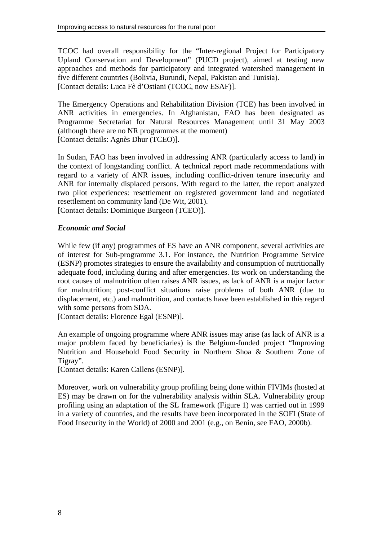TCOC had overall responsibility for the "Inter-regional Project for Participatory Upland Conservation and Development" (PUCD project), aimed at testing new approaches and methods for participatory and integrated watershed management in five different countries (Bolivia, Burundi, Nepal, Pakistan and Tunisia). [Contact details: Luca Fè d'Ostiani (TCOC, now ESAF)].

The Emergency Operations and Rehabilitation Division (TCE) has been involved in ANR activities in emergencies. In Afghanistan, FAO has been designated as Programme Secretariat for Natural Resources Management until 31 May 2003 (although there are no NR programmes at the moment) [Contact details: Agnès Dhur (TCEO)].

In Sudan, FAO has been involved in addressing ANR (particularly access to land) in the context of longstanding conflict. A technical report made recommendations with regard to a variety of ANR issues, including conflict-driven tenure insecurity and ANR for internally displaced persons. With regard to the latter, the report analyzed two pilot experiences: resettlement on registered government land and negotiated resettlement on community land (De Wit, 2001).

[Contact details: Dominique Burgeon (TCEO)].

## *Economic and Social*

While few (if any) programmes of ES have an ANR component, several activities are of interest for Sub-programme 3.1. For instance, the Nutrition Programme Service (ESNP) promotes strategies to ensure the availability and consumption of nutritionally adequate food, including during and after emergencies. Its work on understanding the root causes of malnutrition often raises ANR issues, as lack of ANR is a major factor for malnutrition; post-conflict situations raise problems of both ANR (due to displacement, etc.) and malnutrition, and contacts have been established in this regard with some persons from SDA.

[Contact details: Florence Egal (ESNP)].

An example of ongoing programme where ANR issues may arise (as lack of ANR is a major problem faced by beneficiaries) is the Belgium-funded project "Improving Nutrition and Household Food Security in Northern Shoa & Southern Zone of Tigray".

[Contact details: Karen Callens (ESNP)].

Moreover, work on vulnerability group profiling being done within FIVIMs (hosted at ES) may be drawn on for the vulnerability analysis within SLA. Vulnerability group profiling using an adaptation of the SL framework (Figure 1) was carried out in 1999 in a variety of countries, and the results have been incorporated in the SOFI (State of Food Insecurity in the World) of 2000 and 2001 (e.g., on Benin, see FAO, 2000b).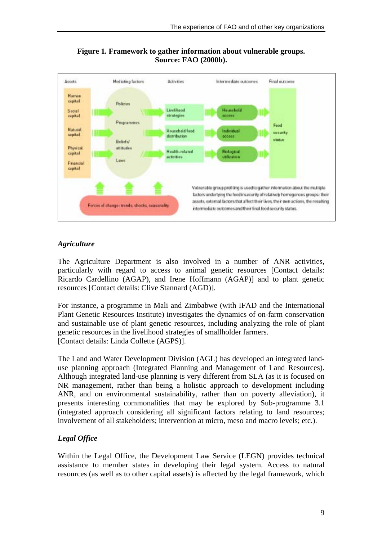

**Figure 1. Framework to gather information about vulnerable groups. Source: FAO (2000b).** 

## *Agriculture*

The Agriculture Department is also involved in a number of ANR activities, particularly with regard to access to animal genetic resources [Contact details: Ricardo Cardellino (AGAP), and Irene Hoffmann (AGAP)] and to plant genetic resources [Contact details: Clive Stannard (AGD)].

For instance, a programme in Mali and Zimbabwe (with IFAD and the International Plant Genetic Resources Institute) investigates the dynamics of on-farm conservation and sustainable use of plant genetic resources, including analyzing the role of plant genetic resources in the livelihood strategies of smallholder farmers. [Contact details: Linda Collette (AGPS)].

The Land and Water Development Division (AGL) has developed an integrated landuse planning approach (Integrated Planning and Management of Land Resources). Although integrated land-use planning is very different from SLA (as it is focused on NR management, rather than being a holistic approach to development including ANR, and on environmental sustainability, rather than on poverty alleviation), it presents interesting commonalities that may be explored by Sub-programme 3.1 (integrated approach considering all significant factors relating to land resources; involvement of all stakeholders; intervention at micro, meso and macro levels; etc.).

## *Legal Office*

Within the Legal Office, the Development Law Service (LEGN) provides technical assistance to member states in developing their legal system. Access to natural resources (as well as to other capital assets) is affected by the legal framework, which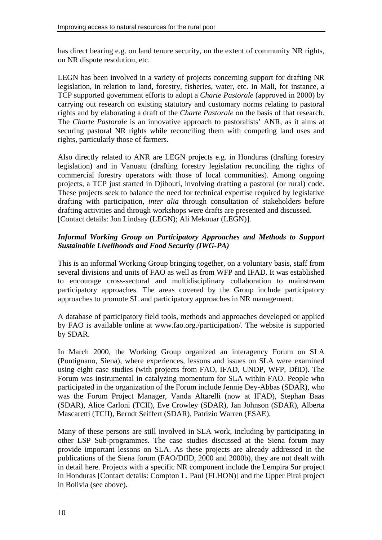has direct bearing e.g. on land tenure security, on the extent of community NR rights, on NR dispute resolution, etc.

LEGN has been involved in a variety of projects concerning support for drafting NR legislation, in relation to land, forestry, fisheries, water, etc. In Mali, for instance, a TCP supported government efforts to adopt a *Charte Pastorale* (approved in 2000) by carrying out research on existing statutory and customary norms relating to pastoral rights and by elaborating a draft of the *Charte Pastorale* on the basis of that research. The *Charte Pastorale* is an innovative approach to pastoralists' ANR, as it aims at securing pastoral NR rights while reconciling them with competing land uses and rights, particularly those of farmers.

Also directly related to ANR are LEGN projects e.g. in Honduras (drafting forestry legislation) and in Vanuatu (drafting forestry legislation reconciling the rights of commercial forestry operators with those of local communities). Among ongoing projects, a TCP just started in Djibouti, involving drafting a pastoral (or rural) code. These projects seek to balance the need for technical expertise required by legislative drafting with participation, *inter alia* through consultation of stakeholders before drafting activities and through workshops were drafts are presented and discussed. [Contact details: Jon Lindsay (LEGN); Ali Mekouar (LEGN)].

## *Informal Working Group on Participatory Approaches and Methods to Support Sustainable Livelihoods and Food Security (IWG-PA)*

This is an informal Working Group bringing together, on a voluntary basis, staff from several divisions and units of FAO as well as from WFP and IFAD. It was established to encourage cross-sectoral and multidisciplinary collaboration to mainstream participatory approaches. The areas covered by the Group include participatory approaches to promote SL and participatory approaches in NR management.

A database of participatory field tools, methods and approaches developed or applied by FAO is available online at www.fao.org./participation/. The website is supported by SDAR.

In March 2000, the Working Group organized an interagency Forum on SLA (Pontignano, Siena), where experiences, lessons and issues on SLA were examined using eight case studies (with projects from FAO, IFAD, UNDP, WFP, DfID). The Forum was instrumental in catalyzing momentum for SLA within FAO. People who participated in the organization of the Forum include Jennie Dey-Abbas (SDAR), who was the Forum Project Manager, Vanda Altarelli (now at IFAD), Stephan Baas (SDAR), Alice Carloni (TCII), Eve Crowley (SDAR), Jan Johnson (SDAR), Alberta Mascaretti (TCII), Berndt Seiffert (SDAR), Patrizio Warren (ESAE).

Many of these persons are still involved in SLA work, including by participating in other LSP Sub-programmes. The case studies discussed at the Siena forum may provide important lessons on SLA. As these projects are already addressed in the publications of the Siena forum (FAO/DfID, 2000 and 2000b), they are not dealt with in detail here. Projects with a specific NR component include the Lempira Sur project in Honduras [Contact details: Compton L. Paul (FLHON)] and the Upper Piraí project in Bolivia (see above).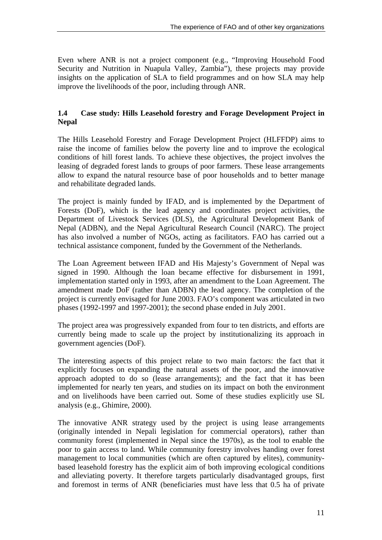Even where ANR is not a project component (e.g., "Improving Household Food Security and Nutrition in Nuapula Valley, Zambia"), these projects may provide insights on the application of SLA to field programmes and on how SLA may help improve the livelihoods of the poor, including through ANR.

## **1.4 Case study: Hills Leasehold forestry and Forage Development Project in Nepal**

The Hills Leasehold Forestry and Forage Development Project (HLFFDP) aims to raise the income of families below the poverty line and to improve the ecological conditions of hill forest lands. To achieve these objectives, the project involves the leasing of degraded forest lands to groups of poor farmers. These lease arrangements allow to expand the natural resource base of poor households and to better manage and rehabilitate degraded lands.

The project is mainly funded by IFAD, and is implemented by the Department of Forests (DoF), which is the lead agency and coordinates project activities, the Department of Livestock Services (DLS), the Agricultural Development Bank of Nepal (ADBN), and the Nepal Agricultural Research Council (NARC). The project has also involved a number of NGOs, acting as facilitators. FAO has carried out a technical assistance component, funded by the Government of the Netherlands.

The Loan Agreement between IFAD and His Majesty's Government of Nepal was signed in 1990. Although the loan became effective for disbursement in 1991, implementation started only in 1993, after an amendment to the Loan Agreement. The amendment made DoF (rather than ADBN) the lead agency. The completion of the project is currently envisaged for June 2003. FAO's component was articulated in two phases (1992-1997 and 1997-2001); the second phase ended in July 2001.

The project area was progressively expanded from four to ten districts, and efforts are currently being made to scale up the project by institutionalizing its approach in government agencies (DoF).

The interesting aspects of this project relate to two main factors: the fact that it explicitly focuses on expanding the natural assets of the poor, and the innovative approach adopted to do so (lease arrangements); and the fact that it has been implemented for nearly ten years, and studies on its impact on both the environment and on livelihoods have been carried out. Some of these studies explicitly use SL analysis (e.g., Ghimire, 2000).

The innovative ANR strategy used by the project is using lease arrangements (originally intended in Nepali legislation for commercial operators), rather than community forest (implemented in Nepal since the 1970s), as the tool to enable the poor to gain access to land. While community forestry involves handing over forest management to local communities (which are often captured by elites), communitybased leasehold forestry has the explicit aim of both improving ecological conditions and alleviating poverty. It therefore targets particularly disadvantaged groups, first and foremost in terms of ANR (beneficiaries must have less that 0.5 ha of private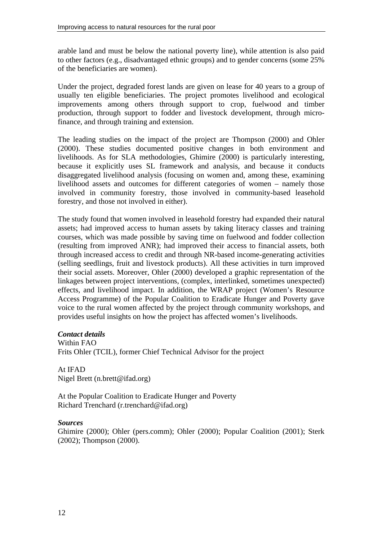arable land and must be below the national poverty line), while attention is also paid to other factors (e.g., disadvantaged ethnic groups) and to gender concerns (some 25% of the beneficiaries are women).

Under the project, degraded forest lands are given on lease for 40 years to a group of usually ten eligible beneficiaries. The project promotes livelihood and ecological improvements among others through support to crop, fuelwood and timber production, through support to fodder and livestock development, through microfinance, and through training and extension.

The leading studies on the impact of the project are Thompson (2000) and Ohler (2000). These studies documented positive changes in both environment and livelihoods. As for SLA methodologies, Ghimire (2000) is particularly interesting, because it explicitly uses SL framework and analysis, and because it conducts disaggregated livelihood analysis (focusing on women and, among these, examining livelihood assets and outcomes for different categories of women – namely those involved in community forestry, those involved in community-based leasehold forestry, and those not involved in either).

The study found that women involved in leasehold forestry had expanded their natural assets; had improved access to human assets by taking literacy classes and training courses, which was made possible by saving time on fuelwood and fodder collection (resulting from improved ANR); had improved their access to financial assets, both through increased access to credit and through NR-based income-generating activities (selling seedlings, fruit and livestock products). All these activities in turn improved their social assets. Moreover, Ohler (2000) developed a graphic representation of the linkages between project interventions, (complex, interlinked, sometimes unexpected) effects, and livelihood impact. In addition, the WRAP project (Women's Resource Access Programme) of the Popular Coalition to Eradicate Hunger and Poverty gave voice to the rural women affected by the project through community workshops, and provides useful insights on how the project has affected women's livelihoods.

#### *Contact details*

Within FAO Frits Ohler (TCIL), former Chief Technical Advisor for the project

At IFAD Nigel Brett (n.brett@ifad.org)

At the Popular Coalition to Eradicate Hunger and Poverty Richard Trenchard (r.trenchard@ifad.org)

#### *Sources*

Ghimire (2000); Ohler (pers.comm); Ohler (2000); Popular Coalition (2001); Sterk (2002); Thompson (2000).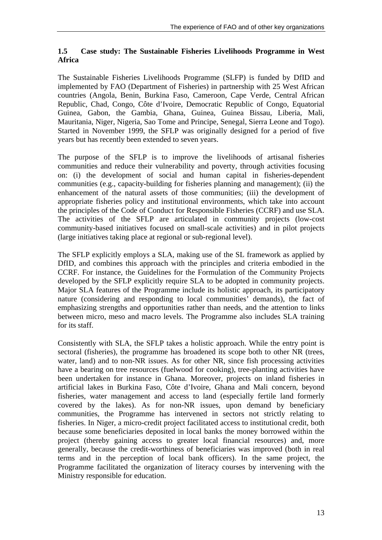## **1.5 Case study: The Sustainable Fisheries Livelihoods Programme in West Africa**

The Sustainable Fisheries Livelihoods Programme (SLFP) is funded by DfID and implemented by FAO (Department of Fisheries) in partnership with 25 West African countries (Angola, Benin, Burkina Faso, Cameroon, Cape Verde, Central African Republic, Chad, Congo, Côte d'Ivoire, Democratic Republic of Congo, Equatorial Guinea, Gabon, the Gambia, Ghana, Guinea, Guinea Bissau, Liberia, Mali, Mauritania, Niger, Nigeria, Sao Tome and Principe, Senegal, Sierra Leone and Togo). Started in November 1999, the SFLP was originally designed for a period of five years but has recently been extended to seven years.

The purpose of the SFLP is to improve the livelihoods of artisanal fisheries communities and reduce their vulnerability and poverty, through activities focusing on: (i) the development of social and human capital in fisheries-dependent communities (e.g., capacity-building for fisheries planning and management); (ii) the enhancement of the natural assets of those communities; (iii) the development of appropriate fisheries policy and institutional environments, which take into account the principles of the Code of Conduct for Responsible Fisheries (CCRF) and use SLA. The activities of the SFLP are articulated in community projects (low-cost community-based initiatives focused on small-scale activities) and in pilot projects (large initiatives taking place at regional or sub-regional level).

The SFLP explicitly employs a SLA, making use of the SL framework as applied by DfID, and combines this approach with the principles and criteria embodied in the CCRF. For instance, the Guidelines for the Formulation of the Community Projects developed by the SFLP explicitly require SLA to be adopted in community projects. Major SLA features of the Programme include its holistic approach, its participatory nature (considering and responding to local communities' demands), the fact of emphasizing strengths and opportunities rather than needs, and the attention to links between micro, meso and macro levels. The Programme also includes SLA training for its staff.

Consistently with SLA, the SFLP takes a holistic approach. While the entry point is sectoral (fisheries), the programme has broadened its scope both to other NR (trees, water, land) and to non-NR issues. As for other NR, since fish processing activities have a bearing on tree resources (fuelwood for cooking), tree-planting activities have been undertaken for instance in Ghana. Moreover, projects on inland fisheries in artificial lakes in Burkina Faso, Côte d'Ivoire, Ghana and Mali concern, beyond fisheries, water management and access to land (especially fertile land formerly covered by the lakes). As for non-NR issues, upon demand by beneficiary communities, the Programme has intervened in sectors not strictly relating to fisheries. In Niger, a micro-credit project facilitated access to institutional credit, both because some beneficiaries deposited in local banks the money borrowed within the project (thereby gaining access to greater local financial resources) and, more generally, because the credit-worthiness of beneficiaries was improved (both in real terms and in the perception of local bank officers). In the same project, the Programme facilitated the organization of literacy courses by intervening with the Ministry responsible for education.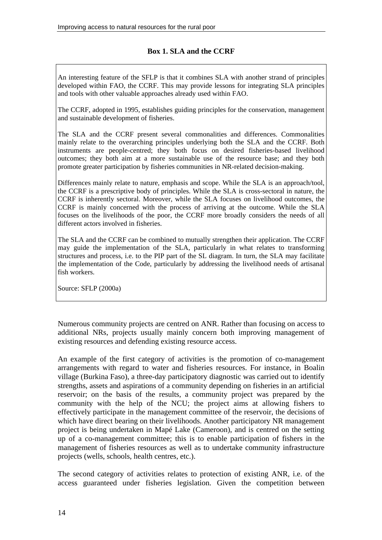## **Box 1. SLA and the CCRF**

An interesting feature of the SFLP is that it combines SLA with another strand of principles developed within FAO, the CCRF. This may provide lessons for integrating SLA principles and tools with other valuable approaches already used within FAO.

The CCRF, adopted in 1995, establishes guiding principles for the conservation, management and sustainable development of fisheries.

The SLA and the CCRF present several commonalities and differences. Commonalities mainly relate to the overarching principles underlying both the SLA and the CCRF. Both instruments are people-centred; they both focus on desired fisheries-based livelihood outcomes; they both aim at a more sustainable use of the resource base; and they both promote greater participation by fisheries communities in NR-related decision-making.

Differences mainly relate to nature, emphasis and scope. While the SLA is an approach/tool, the CCRF is a prescriptive body of principles. While the SLA is cross-sectoral in nature, the CCRF is inherently sectoral. Moreover, while the SLA focuses on livelihood outcomes, the CCRF is mainly concerned with the process of arriving at the outcome. While the SLA focuses on the livelihoods of the poor, the CCRF more broadly considers the needs of all different actors involved in fisheries.

The SLA and the CCRF can be combined to mutually strengthen their application. The CCRF may guide the implementation of the SLA, particularly in what relates to transforming structures and process, i.e. to the PIP part of the SL diagram. In turn, the SLA may facilitate the implementation of the Code, particularly by addressing the livelihood needs of artisanal fish workers.

Source: SFLP (2000a)

Numerous community projects are centred on ANR. Rather than focusing on access to additional NRs, projects usually mainly concern both improving management of existing resources and defending existing resource access.

An example of the first category of activities is the promotion of co-management arrangements with regard to water and fisheries resources. For instance, in Boalin village (Burkina Faso), a three-day participatory diagnostic was carried out to identify strengths, assets and aspirations of a community depending on fisheries in an artificial reservoir; on the basis of the results, a community project was prepared by the community with the help of the NCU; the project aims at allowing fishers to effectively participate in the management committee of the reservoir, the decisions of which have direct bearing on their livelihoods. Another participatory NR management project is being undertaken in Mapé Lake (Cameroon), and is centred on the setting up of a co-management committee; this is to enable participation of fishers in the management of fisheries resources as well as to undertake community infrastructure projects (wells, schools, health centres, etc.).

The second category of activities relates to protection of existing ANR, i.e. of the access guaranteed under fisheries legislation. Given the competition between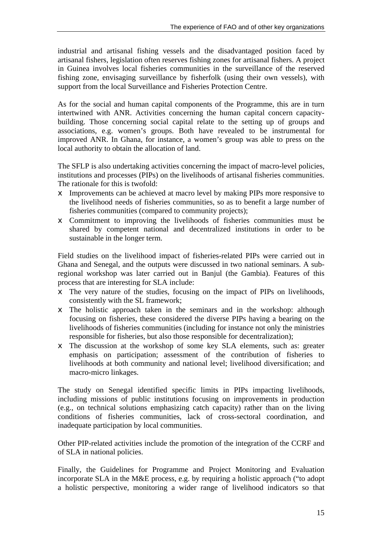industrial and artisanal fishing vessels and the disadvantaged position faced by artisanal fishers, legislation often reserves fishing zones for artisanal fishers. A project in Guinea involves local fisheries communities in the surveillance of the reserved fishing zone, envisaging surveillance by fisherfolk (using their own vessels), with support from the local Surveillance and Fisheries Protection Centre.

As for the social and human capital components of the Programme, this are in turn intertwined with ANR. Activities concerning the human capital concern capacitybuilding. Those concerning social capital relate to the setting up of groups and associations, e.g. women's groups. Both have revealed to be instrumental for improved ANR. In Ghana, for instance, a women's group was able to press on the local authority to obtain the allocation of land.

The SFLP is also undertaking activities concerning the impact of macro-level policies, institutions and processes (PIPs) on the livelihoods of artisanal fisheries communities. The rationale for this is twofold:

- $\epsilon$  Improvements can be achieved at macro level by making PIPs more responsive to the livelihood needs of fisheries communities, so as to benefit a large number of fisheries communities (compared to community projects);
- $\epsilon$  Commitment to improving the livelihoods of fisheries communities must be shared by competent national and decentralized institutions in order to be sustainable in the longer term.

Field studies on the livelihood impact of fisheries-related PIPs were carried out in Ghana and Senegal, and the outputs were discussed in two national seminars. A subregional workshop was later carried out in Banjul (the Gambia). Features of this process that are interesting for SLA include:

- $\epsilon$  The very nature of the studies, focusing on the impact of PIPs on livelihoods, consistently with the SL framework;
- $\neq$  The holistic approach taken in the seminars and in the workshop: although focusing on fisheries, these considered the diverse PIPs having a bearing on the livelihoods of fisheries communities (including for instance not only the ministries responsible for fisheries, but also those responsible for decentralization);
- $\neq$  The discussion at the workshop of some key SLA elements, such as: greater emphasis on participation; assessment of the contribution of fisheries to livelihoods at both community and national level; livelihood diversification; and macro-micro linkages.

The study on Senegal identified specific limits in PIPs impacting livelihoods, including missions of public institutions focusing on improvements in production (e.g., on technical solutions emphasizing catch capacity) rather than on the living conditions of fisheries communities, lack of cross-sectoral coordination, and inadequate participation by local communities.

Other PIP-related activities include the promotion of the integration of the CCRF and of SLA in national policies.

Finally, the Guidelines for Programme and Project Monitoring and Evaluation incorporate SLA in the M&E process, e.g. by requiring a holistic approach ("to adopt a holistic perspective, monitoring a wider range of livelihood indicators so that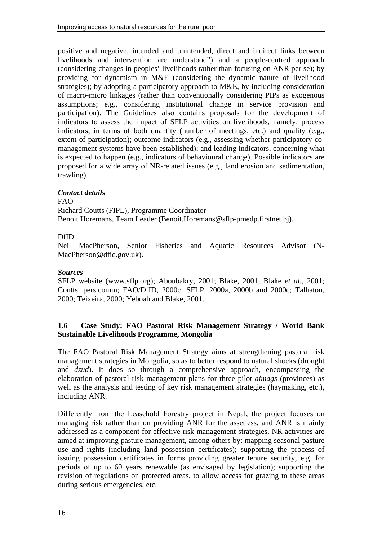positive and negative, intended and unintended, direct and indirect links between livelihoods and intervention are understood") and a people-centred approach (considering changes in peoples' livelihoods rather than focusing on ANR per se); by providing for dynamism in M&E (considering the dynamic nature of livelihood strategies); by adopting a participatory approach to M&E, by including consideration of macro-micro linkages (rather than conventionally considering PIPs as exogenous assumptions; e.g., considering institutional change in service provision and participation). The Guidelines also contains proposals for the development of indicators to assess the impact of SFLP activities on livelihoods, namely: process indicators, in terms of both quantity (number of meetings, etc.) and quality (e.g., extent of participation); outcome indicators (e.g., assessing whether participatory comanagement systems have been established); and leading indicators, concerning what is expected to happen (e.g., indicators of behavioural change). Possible indicators are proposed for a wide array of NR-related issues (e.g., land erosion and sedimentation, trawling).

## *Contact details*

 $FAO$ 

Richard Coutts (FIPL), Programme Coordinator Benoit Horemans, Team Leader (Benoit.Horemans@sflp-pmedp.firstnet.bj).

## DfID

Neil MacPherson, Senior Fisheries and Aquatic Resources Advisor (N-MacPherson@dfid.gov.uk).

#### *Sources*

SFLP website (www.sflp.org); Aboubakry, 2001; Blake, 2001; Blake *et al.*, 2001; Coutts, pers.comm; FAO/DfID, 2000c; SFLP, 2000a, 2000b and 2000c; Talhatou, 2000; Teixeira, 2000; Yeboah and Blake, 2001.

## **1.6 Case Study: FAO Pastoral Risk Management Strategy / World Bank Sustainable Livelihoods Programme, Mongolia**

The FAO Pastoral Risk Management Strategy aims at strengthening pastoral risk management strategies in Mongolia, so as to better respond to natural shocks (drought and *dzud*). It does so through a comprehensive approach, encompassing the elaboration of pastoral risk management plans for three pilot *aimags* (provinces) as well as the analysis and testing of key risk management strategies (haymaking, etc.), including ANR.

Differently from the Leasehold Forestry project in Nepal, the project focuses on managing risk rather than on providing ANR for the assetless, and ANR is mainly addressed as a component for effective risk management strategies. NR activities are aimed at improving pasture management, among others by: mapping seasonal pasture use and rights (including land possession certificates); supporting the process of issuing possession certificates in forms providing greater tenure security, e.g. for periods of up to 60 years renewable (as envisaged by legislation); supporting the revision of regulations on protected areas, to allow access for grazing to these areas during serious emergencies; etc.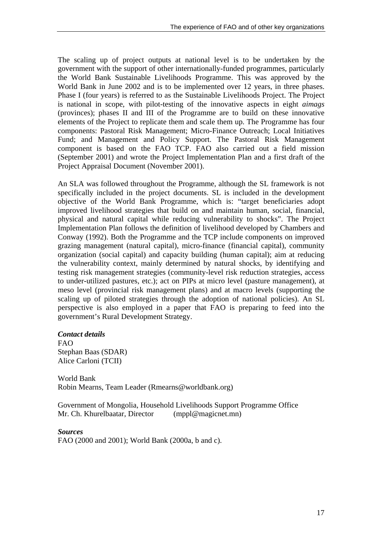The scaling up of project outputs at national level is to be undertaken by the government with the support of other internationally-funded programmes, particularly the World Bank Sustainable Livelihoods Programme. This was approved by the World Bank in June 2002 and is to be implemented over 12 years, in three phases. Phase I (four years) is referred to as the Sustainable Livelihoods Project. The Project is national in scope, with pilot-testing of the innovative aspects in eight *aimags* (provinces); phases II and III of the Programme are to build on these innovative elements of the Project to replicate them and scale them up. The Programme has four components: Pastoral Risk Management; Micro-Finance Outreach; Local Initiatives Fund; and Management and Policy Support. The Pastoral Risk Management component is based on the FAO TCP. FAO also carried out a field mission (September 2001) and wrote the Project Implementation Plan and a first draft of the Project Appraisal Document (November 2001).

An SLA was followed throughout the Programme, although the SL framework is not specifically included in the project documents. SL is included in the development objective of the World Bank Programme, which is: "target beneficiaries adopt improved livelihood strategies that build on and maintain human, social, financial, physical and natural capital while reducing vulnerability to shocks". The Project Implementation Plan follows the definition of livelihood developed by Chambers and Conway (1992). Both the Programme and the TCP include components on improved grazing management (natural capital), micro-finance (financial capital), community organization (social capital) and capacity building (human capital); aim at reducing the vulnerability context, mainly determined by natural shocks, by identifying and testing risk management strategies (community-level risk reduction strategies, access to under-utilized pastures, etc.); act on PIPs at micro level (pasture management), at meso level (provincial risk management plans) and at macro levels (supporting the scaling up of piloted strategies through the adoption of national policies). An SL perspective is also employed in a paper that FAO is preparing to feed into the government's Rural Development Strategy.

#### *Contact details*

FAO Stephan Baas (SDAR) Alice Carloni (TCII)

World Bank Robin Mearns, Team Leader (Rmearns@worldbank.org)

Government of Mongolia, Household Livelihoods Support Programme Office Mr. Ch. Khurelbaatar, Director (mppl@magicnet.mn)

*Sources* FAO (2000 and 2001); World Bank (2000a, b and c).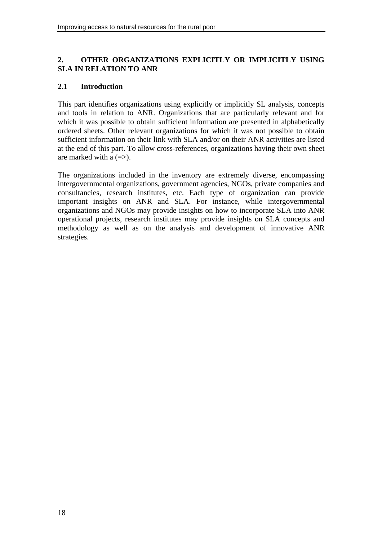## **2. OTHER ORGANIZATIONS EXPLICITLY OR IMPLICITLY USING SLA IN RELATION TO ANR**

## **2.1 Introduction**

This part identifies organizations using explicitly or implicitly SL analysis, concepts and tools in relation to ANR. Organizations that are particularly relevant and for which it was possible to obtain sufficient information are presented in alphabetically ordered sheets. Other relevant organizations for which it was not possible to obtain sufficient information on their link with SLA and/or on their ANR activities are listed at the end of this part. To allow cross-references, organizations having their own sheet are marked with a  $(=>)$ .

The organizations included in the inventory are extremely diverse, encompassing intergovernmental organizations, government agencies, NGOs, private companies and consultancies, research institutes, etc. Each type of organization can provide important insights on ANR and SLA. For instance, while intergovernmental organizations and NGOs may provide insights on how to incorporate SLA into ANR operational projects, research institutes may provide insights on SLA concepts and methodology as well as on the analysis and development of innovative ANR strategies.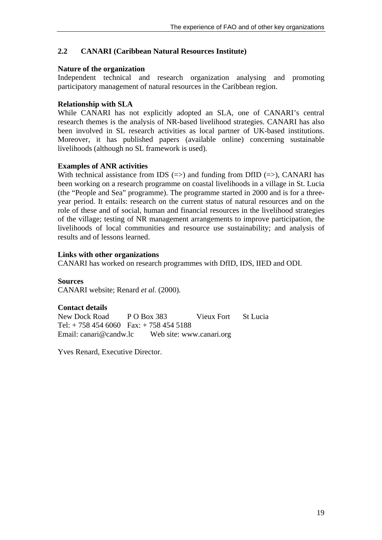## **2.2 CANARI (Caribbean Natural Resources Institute)**

#### **Nature of the organization**

Independent technical and research organization analysing and promoting participatory management of natural resources in the Caribbean region.

## **Relationship with SLA**

While CANARI has not explicitly adopted an SLA, one of CANARI's central research themes is the analysis of NR-based livelihood strategies. CANARI has also been involved in SL research activities as local partner of UK-based institutions. Moreover, it has published papers (available online) concerning sustainable livelihoods (although no SL framework is used).

## **Examples of ANR activities**

With technical assistance from IDS  $(=)$  and funding from DfID  $(=)$ , CANARI has been working on a research programme on coastal livelihoods in a village in St. Lucia (the "People and Sea" programme). The programme started in 2000 and is for a threeyear period. It entails: research on the current status of natural resources and on the role of these and of social, human and financial resources in the livelihood strategies of the village; testing of NR management arrangements to improve participation, the livelihoods of local communities and resource use sustainability; and analysis of results and of lessons learned.

## **Links with other organizations**

CANARI has worked on research programmes with DfID, IDS, IIED and ODI.

**Sources** CANARI website; Renard *et al.* (2000).

## **Contact details**

New Dock Road P O Box 383 Vieux Fort St Lucia Tel: + 758 454 6060 Fax: + 758 454 5188 Email: canari@candw.lc Web site: www.canari.org

Yves Renard, Executive Director.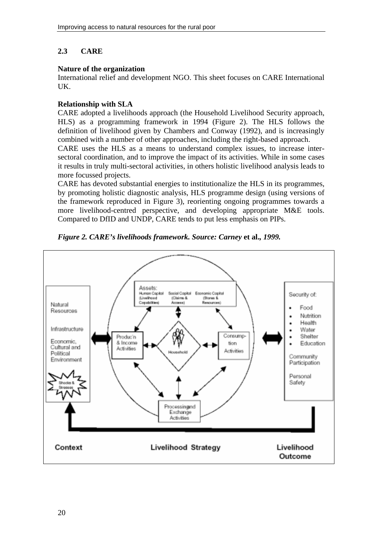# **2.3 CARE**

## **Nature of the organization**

International relief and development NGO. This sheet focuses on CARE International UK.

## **Relationship with SLA**

CARE adopted a livelihoods approach (the Household Livelihood Security approach, HLS) as a programming framework in 1994 (Figure 2). The HLS follows the definition of livelihood given by Chambers and Conway (1992), and is increasingly combined with a number of other approaches, including the right-based approach.

CARE uses the HLS as a means to understand complex issues, to increase intersectoral coordination, and to improve the impact of its activities. While in some cases it results in truly multi-sectoral activities, in others holistic livelihood analysis leads to more focussed projects.

CARE has devoted substantial energies to institutionalize the HLS in its programmes, by promoting holistic diagnostic analysis, HLS programme design (using versions of the framework reproduced in Figure 3), reorienting ongoing programmes towards a more livelihood-centred perspective, and developing appropriate M&E tools. Compared to DfID and UNDP, CARE tends to put less emphasis on PIPs.



*Figure 2. CARE's livelihoods framework. Source: Carney* **et al.***, 1999.*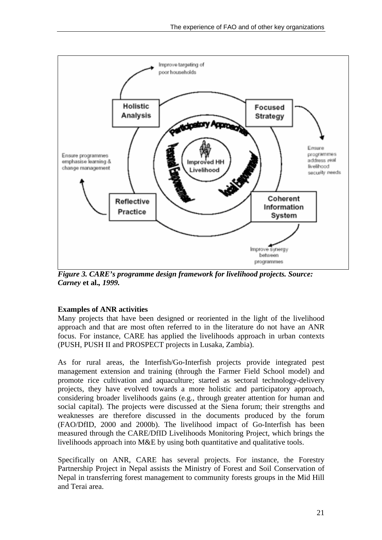

*Figure 3. CARE's programme design framework for livelihood projects. Source: Carney* **et al.***, 1999.* 

## **Examples of ANR activities**

Many projects that have been designed or reoriented in the light of the livelihood approach and that are most often referred to in the literature do not have an ANR focus. For instance, CARE has applied the livelihoods approach in urban contexts (PUSH, PUSH II and PROSPECT projects in Lusaka, Zambia).

As for rural areas, the Interfish/Go-Interfish projects provide integrated pest management extension and training (through the Farmer Field School model) and promote rice cultivation and aquaculture; started as sectoral technology-delivery projects, they have evolved towards a more holistic and participatory approach, considering broader livelihoods gains (e.g., through greater attention for human and social capital). The projects were discussed at the Siena forum; their strengths and weaknesses are therefore discussed in the documents produced by the forum (FAO/DfID, 2000 and 2000b). The livelihood impact of Go-Interfish has been measured through the CARE/DfID Livelihoods Monitoring Project, which brings the livelihoods approach into M&E by using both quantitative and qualitative tools.

Specifically on ANR, CARE has several projects. For instance, the Forestry Partnership Project in Nepal assists the Ministry of Forest and Soil Conservation of Nepal in transferring forest management to community forests groups in the Mid Hill and Terai area.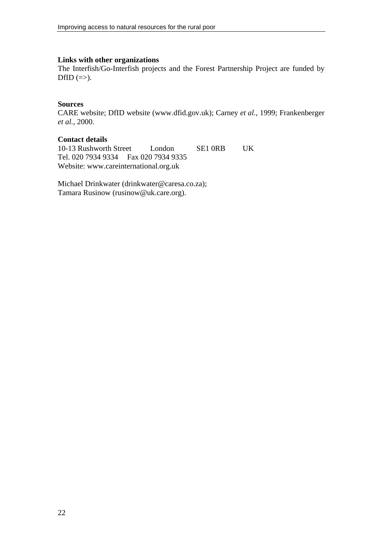#### **Links with other organizations**

The Interfish/Go-Interfish projects and the Forest Partnership Project are funded by DfID  $(\Rightarrow)$ .

#### **Sources**

CARE website; DfID website (www.dfid.gov.uk); Carney *et al.*, 1999; Frankenberger *et al.*, 2000.

## **Contact details**

10-13 Rushworth Street London SE1 0RB UK Tel. 020 7934 9334 Fax 020 7934 9335 Website: www.careinternational.org.uk

Michael Drinkwater (drinkwater@caresa.co.za); Tamara Rusinow (rusinow@uk.care.org).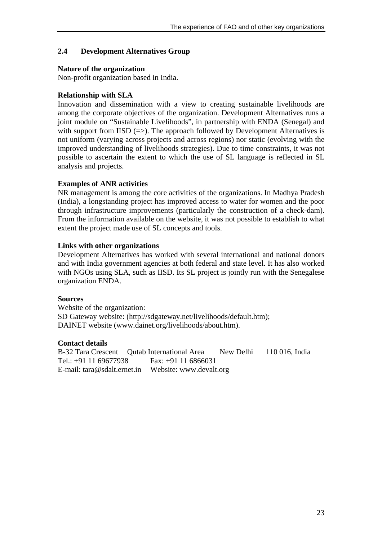## **2.4 Development Alternatives Group**

## **Nature of the organization**

Non-profit organization based in India.

## **Relationship with SLA**

Innovation and dissemination with a view to creating sustainable livelihoods are among the corporate objectives of the organization. Development Alternatives runs a joint module on "Sustainable Livelihoods", in partnership with ENDA (Senegal) and with support from IISD  $(=)$ . The approach followed by Development Alternatives is not uniform (varying across projects and across regions) nor static (evolving with the improved understanding of livelihoods strategies). Due to time constraints, it was not possible to ascertain the extent to which the use of SL language is reflected in SL analysis and projects.

## **Examples of ANR activities**

NR management is among the core activities of the organizations. In Madhya Pradesh (India), a longstanding project has improved access to water for women and the poor through infrastructure improvements (particularly the construction of a check-dam). From the information available on the website, it was not possible to establish to what extent the project made use of SL concepts and tools.

## **Links with other organizations**

Development Alternatives has worked with several international and national donors and with India government agencies at both federal and state level. It has also worked with NGOs using SLA, such as IISD. Its SL project is jointly run with the Senegalese organization ENDA.

#### **Sources**

Website of the organization: SD Gateway website: (http://sdgateway.net/livelihoods/default.htm); DAINET website (www.dainet.org/livelihoods/about.htm).

## **Contact details**

B-32 Tara Crescent Qutab International Area New Delhi 110 016, India Tel.: +91 11 69677938 Fax: +91 11 6866031 E-mail: tara@sdalt.ernet.in Website: www.devalt.org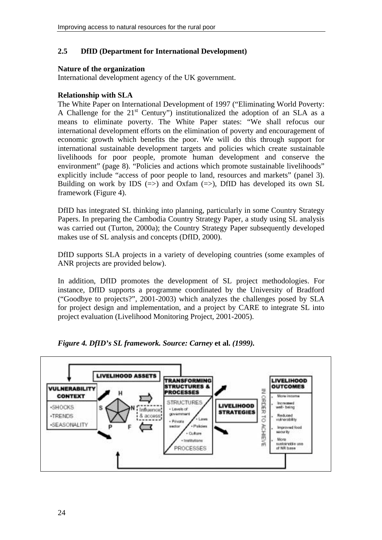## **2.5 DfID (Department for International Development)**

## **Nature of the organization**

International development agency of the UK government.

## **Relationship with SLA**

The White Paper on International Development of 1997 ("Eliminating World Poverty: A Challenge for the  $21<sup>st</sup>$  Century") institutionalized the adoption of an SLA as a means to eliminate poverty. The White Paper states: "We shall refocus our international development efforts on the elimination of poverty and encouragement of economic growth which benefits the poor. We will do this through support for international sustainable development targets and policies which create sustainable livelihoods for poor people, promote human development and conserve the environment" (page 8). "Policies and actions which promote sustainable livelihoods" explicitly include "access of poor people to land, resources and markets" (panel 3). Building on work by IDS  $(\Rightarrow)$  and Oxfam  $(\Rightarrow)$ , DfID has developed its own SL framework (Figure 4).

DfID has integrated SL thinking into planning, particularly in some Country Strategy Papers. In preparing the Cambodia Country Strategy Paper, a study using SL analysis was carried out (Turton, 2000a); the Country Strategy Paper subsequently developed makes use of SL analysis and concepts (DfID, 2000).

DfID supports SLA projects in a variety of developing countries (some examples of ANR projects are provided below).

In addition, DfID promotes the development of SL project methodologies. For instance, DfID supports a programme coordinated by the University of Bradford ("Goodbye to projects?", 2001-2003) which analyzes the challenges posed by SLA for project design and implementation, and a project by CARE to integrate SL into project evaluation (Livelihood Monitoring Project, 2001-2005).



*Figure 4. DfID's SL framework. Source: Carney* **et al.** *(1999).*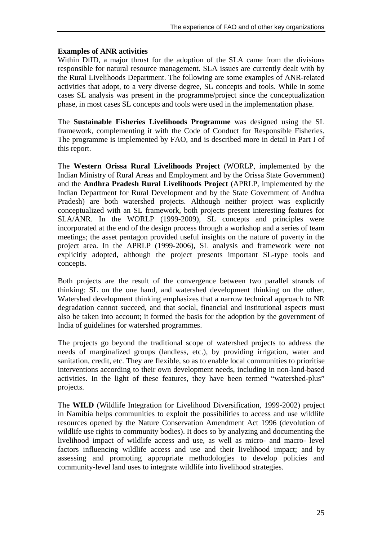## **Examples of ANR activities**

Within DfID, a major thrust for the adoption of the SLA came from the divisions responsible for natural resource management. SLA issues are currently dealt with by the Rural Livelihoods Department. The following are some examples of ANR-related activities that adopt, to a very diverse degree, SL concepts and tools. While in some cases SL analysis was present in the programme/project since the conceptualization phase, in most cases SL concepts and tools were used in the implementation phase.

The **Sustainable Fisheries Livelihoods Programme** was designed using the SL framework, complementing it with the Code of Conduct for Responsible Fisheries. The programme is implemented by FAO, and is described more in detail in Part I of this report.

The **Western Orissa Rural Livelihoods Project** (WORLP, implemented by the Indian Ministry of Rural Areas and Employment and by the Orissa State Government) and the **Andhra Pradesh Rural Livelihoods Project** (APRLP, implemented by the Indian Department for Rural Development and by the State Government of Andhra Pradesh) are both watershed projects. Although neither project was explicitly conceptualized with an SL framework, both projects present interesting features for SLA/ANR. In the WORLP (1999-2009), SL concepts and principles were incorporated at the end of the design process through a workshop and a series of team meetings; the asset pentagon provided useful insights on the nature of poverty in the project area. In the APRLP (1999-2006), SL analysis and framework were not explicitly adopted, although the project presents important SL-type tools and concepts.

Both projects are the result of the convergence between two parallel strands of thinking: SL on the one hand, and watershed development thinking on the other. Watershed development thinking emphasizes that a narrow technical approach to NR degradation cannot succeed, and that social, financial and institutional aspects must also be taken into account; it formed the basis for the adoption by the government of India of guidelines for watershed programmes.

The projects go beyond the traditional scope of watershed projects to address the needs of marginalized groups (landless, etc.), by providing irrigation, water and sanitation, credit, etc. They are flexible, so as to enable local communities to prioritise interventions according to their own development needs, including in non-land-based activities. In the light of these features, they have been termed "watershed-plus" projects.

The **WILD** (Wildlife Integration for Livelihood Diversification, 1999-2002) project in Namibia helps communities to exploit the possibilities to access and use wildlife resources opened by the Nature Conservation Amendment Act 1996 (devolution of wildlife use rights to community bodies). It does so by analyzing and documenting the livelihood impact of wildlife access and use, as well as micro- and macro- level factors influencing wildlife access and use and their livelihood impact; and by assessing and promoting appropriate methodologies to develop policies and community-level land uses to integrate wildlife into livelihood strategies.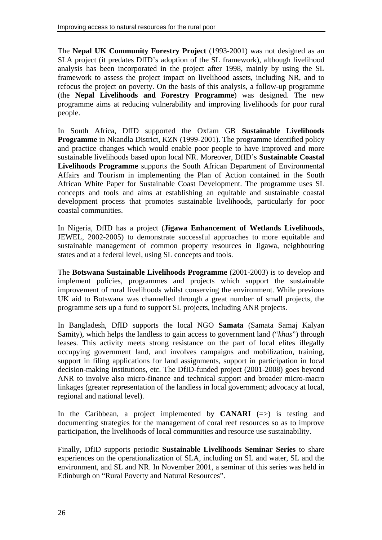The **Nepal UK Community Forestry Project** (1993-2001) was not designed as an SLA project (it predates DfID's adoption of the SL framework), although livelihood analysis has been incorporated in the project after 1998, mainly by using the SL framework to assess the project impact on livelihood assets, including NR, and to refocus the project on poverty. On the basis of this analysis, a follow-up programme (the **Nepal Livelihoods and Forestry Programme**) was designed. The new programme aims at reducing vulnerability and improving livelihoods for poor rural people.

In South Africa, DfID supported the Oxfam GB **Sustainable Livelihoods Programme** in Nkandla District, KZN (1999-2001). The programme identified policy and practice changes which would enable poor people to have improved and more sustainable livelihoods based upon local NR. Moreover, DfID's **Sustainable Coastal Livelihoods Programme** supports the South African Department of Environmental Affairs and Tourism in implementing the Plan of Action contained in the South African White Paper for Sustainable Coast Development. The programme uses SL concepts and tools and aims at establishing an equitable and sustainable coastal development process that promotes sustainable livelihoods, particularly for poor coastal communities.

In Nigeria, DfID has a project (**Jigawa Enhancement of Wetlands Livelihoods**, JEWEL, 2002-2005) to demonstrate successful approaches to more equitable and sustainable management of common property resources in Jigawa, neighbouring states and at a federal level, using SL concepts and tools.

The **Botswana Sustainable Livelihoods Programme** (2001-2003) is to develop and implement policies, programmes and projects which support the sustainable improvement of rural livelihoods whilst conserving the environment. While previous UK aid to Botswana was channelled through a great number of small projects, the programme sets up a fund to support SL projects, including ANR projects.

In Bangladesh, DfID supports the local NGO **Samata** (Samata Samaj Kalyan Samity), which helps the landless to gain access to government land ("*khas*") through leases. This activity meets strong resistance on the part of local elites illegally occupying government land, and involves campaigns and mobilization, training, support in filing applications for land assignments, support in participation in local decision-making institutions, etc. The DfID-funded project (2001-2008) goes beyond ANR to involve also micro-finance and technical support and broader micro-macro linkages (greater representation of the landless in local government; advocacy at local, regional and national level).

In the Caribbean, a project implemented by **CANARI**  $(\Rightarrow)$  is testing and documenting strategies for the management of coral reef resources so as to improve participation, the livelihoods of local communities and resource use sustainability.

Finally, DfID supports periodic **Sustainable Livelihoods Seminar Series** to share experiences on the operationalization of SLA, including on SL and water, SL and the environment, and SL and NR. In November 2001, a seminar of this series was held in Edinburgh on "Rural Poverty and Natural Resources".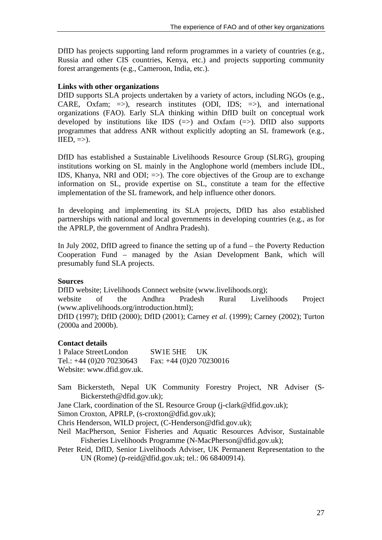DfID has projects supporting land reform programmes in a variety of countries (e.g., Russia and other CIS countries, Kenya, etc.) and projects supporting community forest arrangements (e.g., Cameroon, India, etc.).

#### **Links with other organizations**

DfID supports SLA projects undertaken by a variety of actors, including NGOs (e.g., CARE, Oxfam;  $\Rightarrow$ ), research institutes (ODI, IDS;  $\Rightarrow$ ), and international organizations (FAO). Early SLA thinking within DfID built on conceptual work developed by institutions like IDS  $(\Rightarrow)$  and Oxfam  $(\Rightarrow)$ . DfID also supports programmes that address ANR without explicitly adopting an SL framework (e.g.,  $IIED, =>$ ).

DfID has established a Sustainable Livelihoods Resource Group (SLRG), grouping institutions working on SL mainly in the Anglophone world (members include IDL, IDS, Khanya, NRI and ODI;  $\Rightarrow$ ). The core objectives of the Group are to exchange information on SL, provide expertise on SL, constitute a team for the effective implementation of the SL framework, and help influence other donors.

In developing and implementing its SLA projects, DfID has also established partnerships with national and local governments in developing countries (e.g., as for the APRLP, the government of Andhra Pradesh).

In July 2002, DfID agreed to finance the setting up of a fund – the Poverty Reduction Cooperation Fund – managed by the Asian Development Bank, which will presumably fund SLA projects.

#### **Sources**

DfID website; Livelihoods Connect website (www.livelihoods.org); website of the Andhra Pradesh Rural Livelihoods Project (www.aplivelihoods.org/introduction.html); DfID (1997); DfID (2000); DfID (2001); Carney *et al.* (1999); Carney (2002); Turton (2000a and 2000b).

## **Contact details**

1 Palace Street London SW1E 5HE UK Tel.: +44 (0)20 70230643 Fax: +44 (0)20 70230016 Website: www.dfid.gov.uk.

- Sam Bickersteth, Nepal UK Community Forestry Project, NR Adviser (S-Bickersteth@dfid.gov.uk);
- Jane Clark, coordination of the SL Resource Group (j-clark@dfid.gov.uk);

Simon Croxton, APRLP, (s-croxton@dfid.gov.uk);

Chris Henderson, WILD project, (C-Henderson@dfid.gov.uk);

- Neil MacPherson, Senior Fisheries and Aquatic Resources Advisor, Sustainable Fisheries Livelihoods Programme (N-MacPherson@dfid.gov.uk);
- Peter Reid, DfID, Senior Livelihoods Adviser, UK Permanent Representation to the UN (Rome) (p-reid@dfid.gov.uk; tel.: 06 68400914).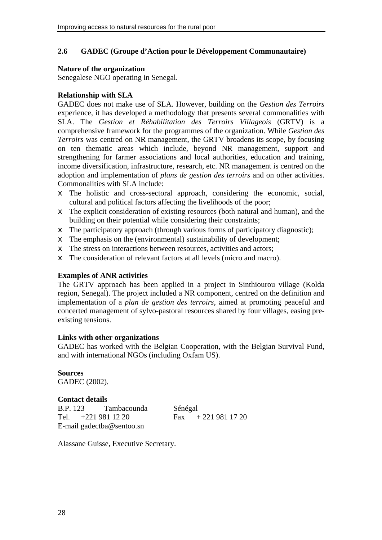#### **2.6 GADEC (Groupe d'Action pour le Développement Communautaire)**

#### **Nature of the organization**

Senegalese NGO operating in Senegal.

#### **Relationship with SLA**

GADEC does not make use of SLA. However, building on the *Gestion des Terroirs* experience, it has developed a methodology that presents several commonalities with SLA. The *Gestion et Réhabilitation des Terroirs Villageois* (GRTV) is a comprehensive framework for the programmes of the organization. While *Gestion des Terroirs* was centred on NR management, the GRTV broadens its scope, by focusing on ten thematic areas which include, beyond NR management, support and strengthening for farmer associations and local authorities, education and training, income diversification, infrastructure, research, etc. NR management is centred on the adoption and implementation of *plans de gestion des terroirs* and on other activities. Commonalities with SLA include:

- $\epsilon$  The holistic and cross-sectoral approach, considering the economic, social, cultural and political factors affecting the livelihoods of the poor;
- $\epsilon$  The explicit consideration of existing resources (both natural and human), and the building on their potential while considering their constraints;
- $\epsilon$  The participatory approach (through various forms of participatory diagnostic);
- $\neq$  The emphasis on the (environmental) sustainability of development;
- $\neq$  The stress on interactions between resources, activities and actors;
- $\neq$  The consideration of relevant factors at all levels (micro and macro).

#### **Examples of ANR activities**

The GRTV approach has been applied in a project in Sinthiourou village (Kolda region, Senegal). The project included a NR component, centred on the definition and implementation of a *plan de gestion des terroirs*, aimed at promoting peaceful and concerted management of sylvo-pastoral resources shared by four villages, easing preexisting tensions.

#### **Links with other organizations**

GADEC has worked with the Belgian Cooperation, with the Belgian Survival Fund, and with international NGOs (including Oxfam US).

**Sources** GADEC (2002).

**Contact details**  B.P. 123 Tambacounda Sénégal Tel. +221 981 12 20 Fax + 221 981 17 20 E-mail gadectba@sentoo.sn

Alassane Guisse, Executive Secretary.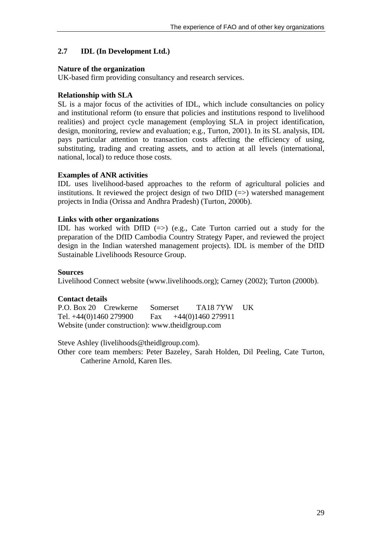## **2.7 IDL (In Development Ltd.)**

#### **Nature of the organization**

UK-based firm providing consultancy and research services.

## **Relationship with SLA**

SL is a major focus of the activities of IDL, which include consultancies on policy and institutional reform (to ensure that policies and institutions respond to livelihood realities) and project cycle management (employing SLA in project identification, design, monitoring, review and evaluation; e.g., Turton, 2001). In its SL analysis, IDL pays particular attention to transaction costs affecting the efficiency of using, substituting, trading and creating assets, and to action at all levels (international, national, local) to reduce those costs.

## **Examples of ANR activities**

IDL uses livelihood-based approaches to the reform of agricultural policies and institutions. It reviewed the project design of two DfID  $(=)$  watershed management projects in India (Orissa and Andhra Pradesh) (Turton, 2000b).

## **Links with other organizations**

IDL has worked with DfID  $(\Rightarrow)$  (e.g., Cate Turton carried out a study for the preparation of the DfID Cambodia Country Strategy Paper, and reviewed the project design in the Indian watershed management projects). IDL is member of the DfID Sustainable Livelihoods Resource Group.

#### **Sources**

Livelihood Connect website (www.livelihoods.org); Carney (2002); Turton (2000b).

#### **Contact details**

P.O. Box 20 Crewkerne Somerset TA18 7YW UK Tel.  $+44(0)1460$  279900 Fax  $+44(0)1460$  279911 Website (under construction): www.theidlgroup.com

Steve Ashley (livelihoods@theidlgroup.com).

Other core team members: Peter Bazeley, Sarah Holden, Dil Peeling, Cate Turton, Catherine Arnold, Karen Iles.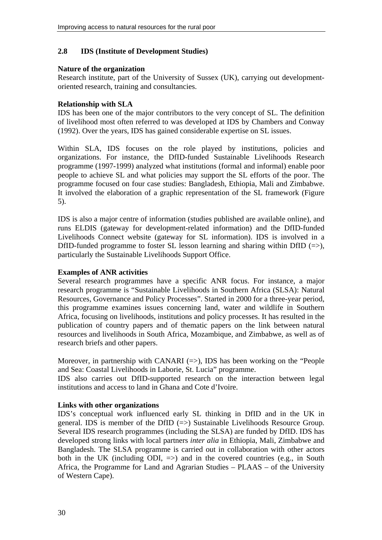#### **2.8 IDS (Institute of Development Studies)**

#### **Nature of the organization**

Research institute, part of the University of Sussex (UK), carrying out developmentoriented research, training and consultancies.

#### **Relationship with SLA**

IDS has been one of the major contributors to the very concept of SL. The definition of livelihood most often referred to was developed at IDS by Chambers and Conway (1992). Over the years, IDS has gained considerable expertise on SL issues.

Within SLA, IDS focuses on the role played by institutions, policies and organizations. For instance, the DfID-funded Sustainable Livelihoods Research programme (1997-1999) analyzed what institutions (formal and informal) enable poor people to achieve SL and what policies may support the SL efforts of the poor. The programme focused on four case studies: Bangladesh, Ethiopia, Mali and Zimbabwe. It involved the elaboration of a graphic representation of the SL framework (Figure 5).

IDS is also a major centre of information (studies published are available online), and runs ELDIS (gateway for development-related information) and the DfID-funded Livelihoods Connect website (gateway for SL information). IDS is involved in a DfID-funded programme to foster SL lesson learning and sharing within DfID  $(=$  >), particularly the Sustainable Livelihoods Support Office.

#### **Examples of ANR activities**

Several research programmes have a specific ANR focus. For instance, a major research programme is "Sustainable Livelihoods in Southern Africa (SLSA): Natural Resources, Governance and Policy Processes". Started in 2000 for a three-year period, this programme examines issues concerning land, water and wildlife in Southern Africa, focusing on livelihoods, institutions and policy processes. It has resulted in the publication of country papers and of thematic papers on the link between natural resources and livelihoods in South Africa, Mozambique, and Zimbabwe, as well as of research briefs and other papers.

Moreover, in partnership with CANARI  $(\Rightarrow)$ , IDS has been working on the "People" and Sea: Coastal Livelihoods in Laborie, St. Lucia" programme.

IDS also carries out DfID-supported research on the interaction between legal institutions and access to land in Ghana and Cote d'Ivoire.

#### **Links with other organizations**

IDS's conceptual work influenced early SL thinking in DfID and in the UK in general. IDS is member of the DfID  $(\Rightarrow)$  Sustainable Livelihoods Resource Group. Several IDS research programmes (including the SLSA) are funded by DfID. IDS has developed strong links with local partners *inter alia* in Ethiopia, Mali, Zimbabwe and Bangladesh. The SLSA programme is carried out in collaboration with other actors both in the UK (including ODI,  $\Rightarrow$ ) and in the covered countries (e.g., in South Africa, the Programme for Land and Agrarian Studies – PLAAS – of the University of Western Cape).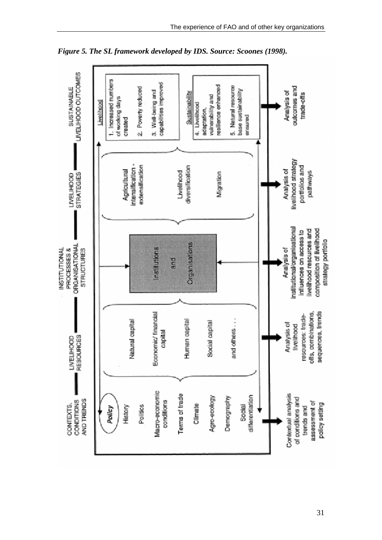

*Figure 5. The SL framework developed by IDS. Source: Scoones (1998).*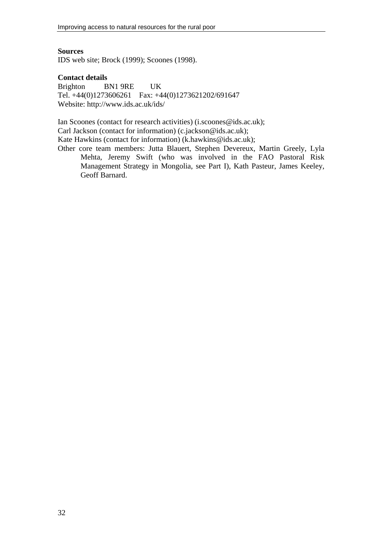### **Sources**

IDS web site; Brock (1999); Scoones (1998).

#### **Contact details**

Brighton BN1 9RE UK Tel. +44(0)1273606261 Fax: +44(0)1273621202/691647 Website: http://www.ids.ac.uk/ids/

Ian Scoones (contact for research activities) (i.scoones@ids.ac.uk); Carl Jackson (contact for information) (c.jackson@ids.ac.uk); Kate Hawkins (contact for information) (k.hawkins@ids.ac.uk);

Other core team members: Jutta Blauert, Stephen Devereux, Martin Greely, Lyla Mehta, Jeremy Swift (who was involved in the FAO Pastoral Risk Management Strategy in Mongolia, see Part I), Kath Pasteur, James Keeley, Geoff Barnard.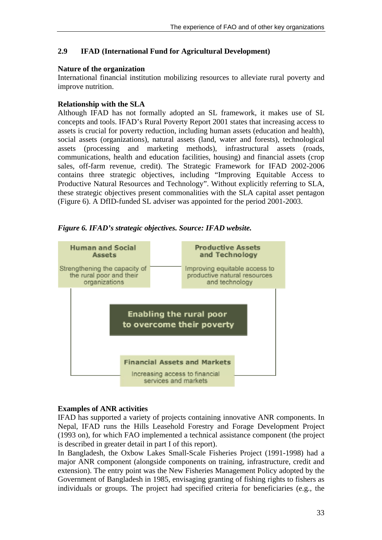# **2.9 IFAD (International Fund for Agricultural Development)**

### **Nature of the organization**

International financial institution mobilizing resources to alleviate rural poverty and improve nutrition.

## **Relationship with the SLA**

Although IFAD has not formally adopted an SL framework, it makes use of SL concepts and tools. IFAD's Rural Poverty Report 2001 states that increasing access to assets is crucial for poverty reduction, including human assets (education and health), social assets (organizations), natural assets (land, water and forests), technological assets (processing and marketing methods), infrastructural assets (roads, communications, health and education facilities, housing) and financial assets (crop sales, off-farm revenue, credit). The Strategic Framework for IFAD 2002-2006 contains three strategic objectives, including "Improving Equitable Access to Productive Natural Resources and Technology". Without explicitly referring to SLA, these strategic objectives present commonalities with the SLA capital asset pentagon (Figure 6). A DfID-funded SL adviser was appointed for the period 2001-2003.



*Figure 6. IFAD's strategic objectives. Source: IFAD website.*

## **Examples of ANR activities**

IFAD has supported a variety of projects containing innovative ANR components. In Nepal, IFAD runs the Hills Leasehold Forestry and Forage Development Project (1993 on), for which FAO implemented a technical assistance component (the project is described in greater detail in part I of this report).

In Bangladesh, the Oxbow Lakes Small-Scale Fisheries Project (1991-1998) had a major ANR component (alongside components on training, infrastructure, credit and extension). The entry point was the New Fisheries Management Policy adopted by the Government of Bangladesh in 1985, envisaging granting of fishing rights to fishers as individuals or groups. The project had specified criteria for beneficiaries (e.g., the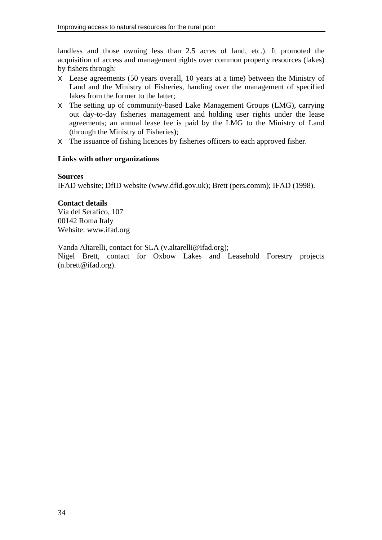landless and those owning less than 2.5 acres of land, etc.). It promoted the acquisition of access and management rights over common property resources (lakes) by fishers through:

- $\epsilon$  Lease agreements (50 years overall, 10 years at a time) between the Ministry of Land and the Ministry of Fisheries, handing over the management of specified lakes from the former to the latter;
- $\epsilon$  The setting up of community-based Lake Management Groups (LMG), carrying out day-to-day fisheries management and holding user rights under the lease agreements; an annual lease fee is paid by the LMG to the Ministry of Land (through the Ministry of Fisheries);
- $\epsilon$  The issuance of fishing licences by fisheries officers to each approved fisher.

### **Links with other organizations**

### **Sources**

IFAD website; DfID website (www.dfid.gov.uk); Brett (pers.comm); IFAD (1998).

**Contact details**  Via del Serafico, 107 00142 Roma Italy Website: www.ifad.org

Vanda Altarelli, contact for SLA (v.altarelli@ifad.org);

Nigel Brett, contact for Oxbow Lakes and Leasehold Forestry projects (n.brett@ifad.org).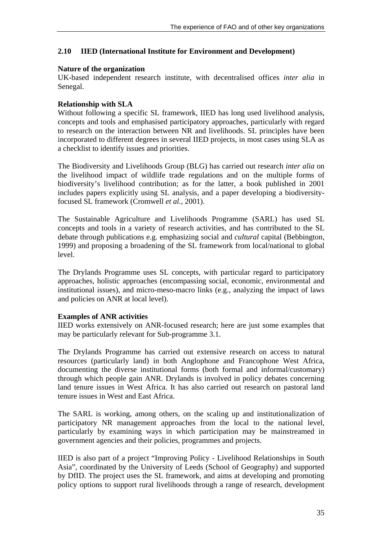## **2.10 IIED (International Institute for Environment and Development)**

#### **Nature of the organization**

UK-based independent research institute, with decentralised offices *inter alia* in Senegal.

### **Relationship with SLA**

Without following a specific SL framework, IIED has long used livelihood analysis, concepts and tools and emphasised participatory approaches, particularly with regard to research on the interaction between NR and livelihoods. SL principles have been incorporated to different degrees in several IIED projects, in most cases using SLA as a checklist to identify issues and priorities.

The Biodiversity and Livelihoods Group (BLG) has carried out research *inter alia* on the livelihood impact of wildlife trade regulations and on the multiple forms of biodiversity's livelihood contribution; as for the latter, a book published in 2001 includes papers explicitly using SL analysis, and a paper developing a biodiversityfocused SL framework (Cromwell *et al.*, 2001).

The Sustainable Agriculture and Livelihoods Programme (SARL) has used SL concepts and tools in a variety of research activities, and has contributed to the SL debate through publications e.g. emphasizing social and *cultural* capital (Bebbington, 1999) and proposing a broadening of the SL framework from local/national to global level.

The Drylands Programme uses SL concepts, with particular regard to participatory approaches, holistic approaches (encompassing social, economic, environmental and institutional issues), and micro-meso-macro links (e.g., analyzing the impact of laws and policies on ANR at local level).

## **Examples of ANR activities**

IIED works extensively on ANR-focused research; here are just some examples that may be particularly relevant for Sub-programme 3.1.

The Drylands Programme has carried out extensive research on access to natural resources (particularly land) in both Anglophone and Francophone West Africa, documenting the diverse institutional forms (both formal and informal/customary) through which people gain ANR. Drylands is involved in policy debates concerning land tenure issues in West Africa. It has also carried out research on pastoral land tenure issues in West and East Africa.

The SARL is working, among others, on the scaling up and institutionalization of participatory NR management approaches from the local to the national level, particularly by examining ways in which participation may be mainstreamed in government agencies and their policies, programmes and projects.

IIED is also part of a project "Improving Policy - Livelihood Relationships in South Asia", coordinated by the University of Leeds (School of Geography) and supported by DfID. The project uses the SL framework, and aims at developing and promoting policy options to support rural livelihoods through a range of research, development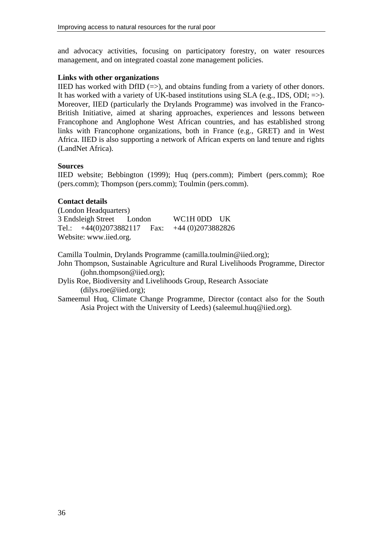and advocacy activities, focusing on participatory forestry, on water resources management, and on integrated coastal zone management policies.

### **Links with other organizations**

IIED has worked with DfID  $(=>)$ , and obtains funding from a variety of other donors. It has worked with a variety of UK-based institutions using SLA (e.g., IDS, ODI;  $\Rightarrow$ ). Moreover, IIED (particularly the Drylands Programme) was involved in the Franco-British Initiative, aimed at sharing approaches, experiences and lessons between Francophone and Anglophone West African countries, and has established strong links with Francophone organizations, both in France (e.g., GRET) and in West Africa. IIED is also supporting a network of African experts on land tenure and rights (LandNet Africa).

## **Sources**

IIED website; Bebbington (1999); Huq (pers.comm); Pimbert (pers.comm); Roe (pers.comm); Thompson (pers.comm); Toulmin (pers.comm).

## **Contact details**

(London Headquarters) 3 Endsleigh Street London WC1H 0DD UK Tel.: +44(0)2073882117 Fax: +44 (0)2073882826 Website: www.iied.org.

Camilla Toulmin, Drylands Programme (camilla.toulmin@iied.org);

John Thompson, Sustainable Agriculture and Rural Livelihoods Programme, Director (john.thompson@iied.org);

Dylis Roe, Biodiversity and Livelihoods Group, Research Associate (dilys.roe@iied.org);

Sameemul Huq, Climate Change Programme, Director (contact also for the South Asia Project with the University of Leeds) (saleemul.huq@iied.org).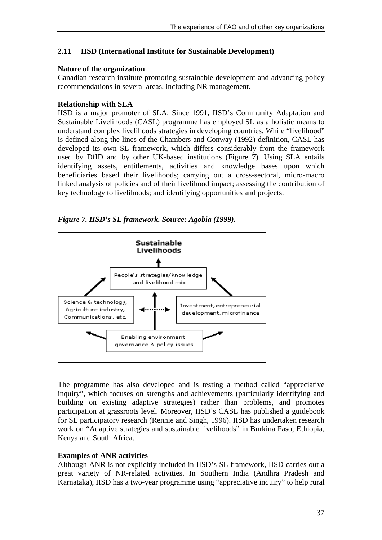## **2.11 IISD (International Institute for Sustainable Development)**

### **Nature of the organization**

Canadian research institute promoting sustainable development and advancing policy recommendations in several areas, including NR management.

## **Relationship with SLA**

IISD is a major promoter of SLA. Since 1991, IISD's Community Adaptation and Sustainable Livelihoods (CASL) programme has employed SL as a holistic means to understand complex livelihoods strategies in developing countries. While "livelihood" is defined along the lines of the Chambers and Conway (1992) definition, CASL has developed its own SL framework, which differs considerably from the framework used by DfID and by other UK-based institutions (Figure 7). Using SLA entails identifying assets, entitlements, activities and knowledge bases upon which beneficiaries based their livelihoods; carrying out a cross-sectoral, micro-macro linked analysis of policies and of their livelihood impact; assessing the contribution of key technology to livelihoods; and identifying opportunities and projects.

*Figure 7. IISD's SL framework. Source: Agobia (1999).* 



The programme has also developed and is testing a method called "appreciative inquiry", which focuses on strengths and achievements (particularly identifying and building on existing adaptive strategies) rather than problems, and promotes participation at grassroots level. Moreover, IISD's CASL has published a guidebook for SL participatory research (Rennie and Singh, 1996). IISD has undertaken research work on "Adaptive strategies and sustainable livelihoods" in Burkina Faso, Ethiopia, Kenya and South Africa.

## **Examples of ANR activities**

Although ANR is not explicitly included in IISD's SL framework, IISD carries out a great variety of NR-related activities. In Southern India (Andhra Pradesh and Karnataka), IISD has a two-year programme using "appreciative inquiry" to help rural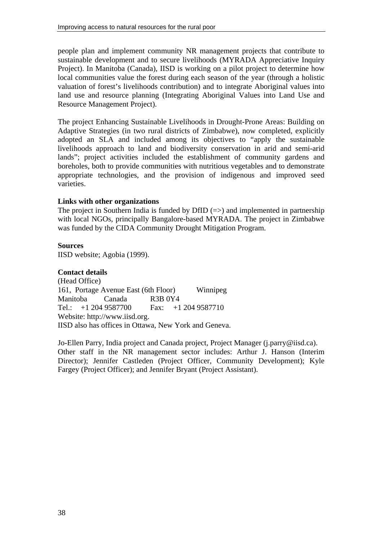people plan and implement community NR management projects that contribute to sustainable development and to secure livelihoods (MYRADA Appreciative Inquiry Project). In Manitoba (Canada), IISD is working on a pilot project to determine how local communities value the forest during each season of the year (through a holistic valuation of forest's livelihoods contribution) and to integrate Aboriginal values into land use and resource planning (Integrating Aboriginal Values into Land Use and Resource Management Project).

The project Enhancing Sustainable Livelihoods in Drought-Prone Areas: Building on Adaptive Strategies (in two rural districts of Zimbabwe), now completed, explicitly adopted an SLA and included among its objectives to "apply the sustainable livelihoods approach to land and biodiversity conservation in arid and semi-arid lands"; project activities included the establishment of community gardens and boreholes, both to provide communities with nutritious vegetables and to demonstrate appropriate technologies, and the provision of indigenous and improved seed varieties.

## **Links with other organizations**

The project in Southern India is funded by DfID  $(\Rightarrow)$  and implemented in partnership with local NGOs, principally Bangalore-based MYRADA. The project in Zimbabwe was funded by the CIDA Community Drought Mitigation Program.

## **Sources**

IISD website; Agobia (1999).

#### **Contact details**

(Head Office) 161, Portage Avenue East (6th Floor) Winnipeg Manitoba Canada R3B 0Y4 Tel.: +1 204 9587700 Fax: +1 204 9587710 Website: http://www.iisd.org. IISD also has offices in Ottawa, New York and Geneva.

Jo-Ellen Parry, India project and Canada project, Project Manager (j.parry@iisd.ca). Other staff in the NR management sector includes: Arthur J. Hanson (Interim Director); Jennifer Castleden (Project Officer, Community Development); Kyle Fargey (Project Officer); and Jennifer Bryant (Project Assistant).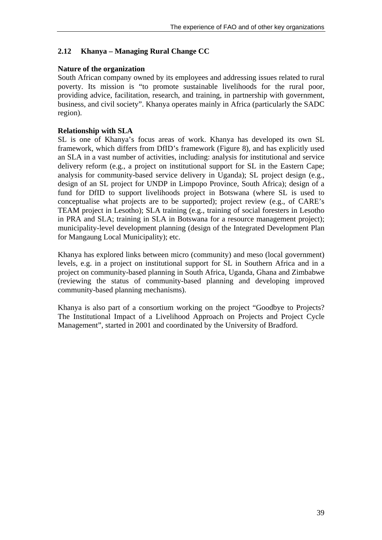# **2.12 Khanya – Managing Rural Change CC**

### **Nature of the organization**

South African company owned by its employees and addressing issues related to rural poverty. Its mission is "to promote sustainable livelihoods for the rural poor, providing advice, facilitation, research, and training, in partnership with government, business, and civil society". Khanya operates mainly in Africa (particularly the SADC region).

### **Relationship with SLA**

SL is one of Khanya's focus areas of work. Khanya has developed its own SL framework, which differs from DfID's framework (Figure 8), and has explicitly used an SLA in a vast number of activities, including: analysis for institutional and service delivery reform (e.g., a project on institutional support for SL in the Eastern Cape; analysis for community-based service delivery in Uganda); SL project design (e.g., design of an SL project for UNDP in Limpopo Province, South Africa); design of a fund for DfID to support livelihoods project in Botswana (where SL is used to conceptualise what projects are to be supported); project review (e.g., of CARE's TEAM project in Lesotho); SLA training (e.g., training of social foresters in Lesotho in PRA and SLA; training in SLA in Botswana for a resource management project); municipality-level development planning (design of the Integrated Development Plan for Mangaung Local Municipality); etc.

Khanya has explored links between micro (community) and meso (local government) levels, e.g. in a project on institutional support for SL in Southern Africa and in a project on community-based planning in South Africa, Uganda, Ghana and Zimbabwe (reviewing the status of community-based planning and developing improved community-based planning mechanisms).

Khanya is also part of a consortium working on the project "Goodbye to Projects? The Institutional Impact of a Livelihood Approach on Projects and Project Cycle Management", started in 2001 and coordinated by the University of Bradford.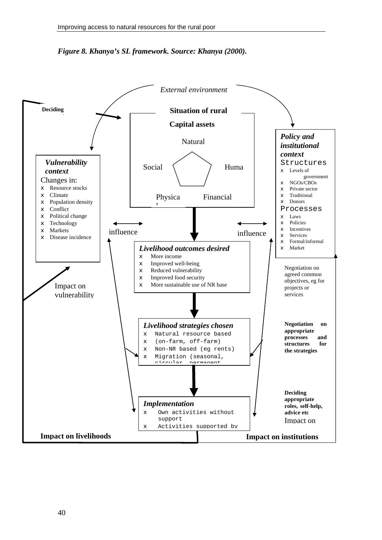

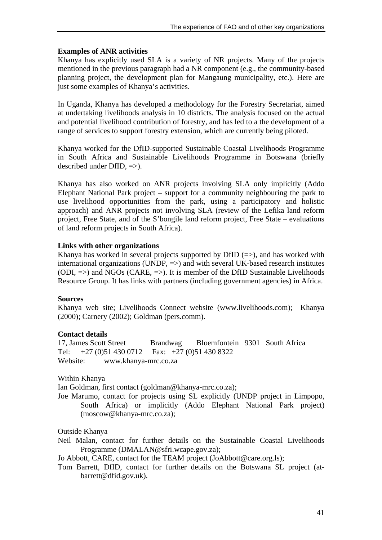### **Examples of ANR activities**

Khanya has explicitly used SLA is a variety of NR projects. Many of the projects mentioned in the previous paragraph had a NR component (e.g., the community-based planning project, the development plan for Mangaung municipality, etc.). Here are just some examples of Khanya's activities.

In Uganda, Khanya has developed a methodology for the Forestry Secretariat, aimed at undertaking livelihoods analysis in 10 districts. The analysis focused on the actual and potential livelihood contribution of forestry, and has led to a the development of a range of services to support forestry extension, which are currently being piloted.

Khanya worked for the DfID-supported Sustainable Coastal Livelihoods Programme in South Africa and Sustainable Livelihoods Programme in Botswana (briefly described under DfID, =>).

Khanya has also worked on ANR projects involving SLA only implicitly (Addo Elephant National Park project – support for a community neighbouring the park to use livelihood opportunities from the park, using a participatory and holistic approach) and ANR projects not involving SLA (review of the Lefika land reform project, Free State, and of the S'bongile land reform project, Free State – evaluations of land reform projects in South Africa).

### **Links with other organizations**

Khanya has worked in several projects supported by DfID  $(=)$ , and has worked with international organizations (UNDP,  $\Rightarrow$ ) and with several UK-based research institutes (ODI,  $\Rightarrow$ ) and NGOs (CARE,  $\Rightarrow$ ). It is member of the DfID Sustainable Livelihoods Resource Group. It has links with partners (including government agencies) in Africa.

#### **Sources**

Khanya web site; Livelihoods Connect website (www.livelihoods.com); Khanya (2000); Carnery (2002); Goldman (pers.comm).

#### **Contact details**

17, James Scott Street Brandwag Bloemfontein 9301 South Africa Tel: +27 (0)51 430 0712 Fax: +27 (0)51 430 8322 Website: www.khanya-mrc.co.za

Within Khanya

Ian Goldman, first contact (goldman@khanya-mrc.co.za);

Joe Marumo, contact for projects using SL explicitly (UNDP project in Limpopo, South Africa) or implicitly (Addo Elephant National Park project) (moscow@khanya-mrc.co.za);

Outside Khanya

Neil Malan, contact for further details on the Sustainable Coastal Livelihoods Programme (DMALAN@sfri.wcape.gov.za);

Jo Abbott, CARE, contact for the TEAM project (JoAbbott@care.org.ls);

Tom Barrett, DfID, contact for further details on the Botswana SL project (atbarrett@dfid.gov.uk).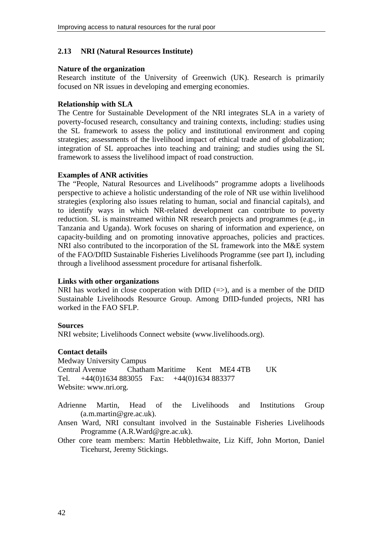#### **2.13 NRI (Natural Resources Institute)**

#### **Nature of the organization**

Research institute of the University of Greenwich (UK). Research is primarily focused on NR issues in developing and emerging economies.

#### **Relationship with SLA**

The Centre for Sustainable Development of the NRI integrates SLA in a variety of poverty-focused research, consultancy and training contexts, including: studies using the SL framework to assess the policy and institutional environment and coping strategies; assessments of the livelihood impact of ethical trade and of globalization; integration of SL approaches into teaching and training; and studies using the SL framework to assess the livelihood impact of road construction.

#### **Examples of ANR activities**

The "People, Natural Resources and Livelihoods" programme adopts a livelihoods perspective to achieve a holistic understanding of the role of NR use within livelihood strategies (exploring also issues relating to human, social and financial capitals), and to identify ways in which NR-related development can contribute to poverty reduction. SL is mainstreamed within NR research projects and programmes (e.g., in Tanzania and Uganda). Work focuses on sharing of information and experience, on capacity-building and on promoting innovative approaches, policies and practices. NRI also contributed to the incorporation of the SL framework into the M&E system of the FAO/DfID Sustainable Fisheries Livelihoods Programme (see part I), including through a livelihood assessment procedure for artisanal fisherfolk.

#### **Links with other organizations**

NRI has worked in close cooperation with DfID  $(=>)$ , and is a member of the DfID Sustainable Livelihoods Resource Group. Among DfID-funded projects, NRI has worked in the FAO SFLP.

#### **Sources**

NRI website; Livelihoods Connect website (www.livelihoods.org).

#### **Contact details**

Medway University Campus Central Avenue Chatham Maritime Kent ME4 4TB UK Tel. +44(0)1634 883055 Fax: +44(0)1634 883377 Website: www.nri.org.

Adrienne Martin, Head of the Livelihoods and Institutions Group (a.m.martin@gre.ac.uk).

- Ansen Ward, NRI consultant involved in the Sustainable Fisheries Livelihoods Programme (A.R.Ward@gre.ac.uk).
- Other core team members: Martin Hebblethwaite, Liz Kiff, John Morton, Daniel Ticehurst, Jeremy Stickings.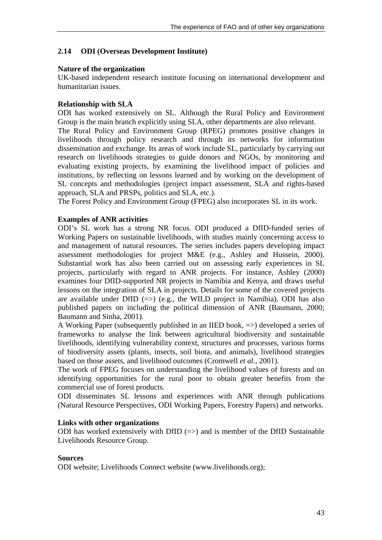### **2.14 ODI (Overseas Development Institute)**

#### **Nature of the organization**

UK-based independent research institute focusing on international development and humanitarian issues.

#### **Relationship with SLA**

ODI has worked extensively on SL. Although the Rural Policy and Environment Group is the main branch explicitly using SLA, other departments are also relevant. The Rural Policy and Environment Group (RPEG) promotes positive changes in livelihoods through policy research and through its networks for information dissemination and exchange. Its areas of work include SL, particularly by carrying out research on livelihoods strategies to guide donors and NGOs, by monitoring and evaluating existing projects, by examining the livelihood impact of policies and institutions, by reflecting on lessons learned and by working on the development of SL concepts and methodologies (project impact assessment, SLA and rights-based approach, SLA and PRSPs, politics and SLA, etc.).

The Forest Policy and Environment Group (FPEG) also incorporates SL in its work.

#### **Examples of ANR activities**

ODI's SL work has a strong NR focus. ODI produced a DfID-funded series of Working Papers on sustainable livelihoods, with studies mainly concerning access to and management of natural resources. The series includes papers developing impact assessment methodologies for project M&E (e.g., Ashley and Hussein, 2000). Substantial work has also been carried out on assessing early experiences in SL projects, particularly with regard to ANR projects. For instance, Ashley (2000) examines four DfID-supported NR projects in Namibia and Kenya, and draws useful lessons on the integration of SLA in projects. Details for some of the covered projects are available under DfID  $(\Rightarrow)$  (e.g., the WILD project in Namibia). ODI has also published papers on including the political dimension of ANR (Baumann, 2000; Baumann and Sinha, 2001).

A Working Paper (subsequently published in an IIED book, =>) developed a series of frameworks to analyse the link between agricultural biodiversity and sustainable livelihoods, identifying vulnerability context, structures and processes, various forms of biodiversity assets (plants, insects, soil biota, and animals), livelihood strategies based on those assets, and livelihood outcomes (Cromwell *et al.*, 2001).

The work of FPEG focuses on understanding the livelihood values of forests and on identifying opportunities for the rural poor to obtain greater benefits from the commercial use of forest products.

ODI disseminates SL lessons and experiences with ANR through publications (Natural Resource Perspectives, ODI Working Papers, Forestry Papers) and networks.

#### **Links with other organizations**

ODI has worked extensively with DfID  $(\Rightarrow)$  and is member of the DfID Sustainable Livelihoods Resource Group.

#### **Sources**

ODI website; Livelihoods Connect website (www.livelihoods.org);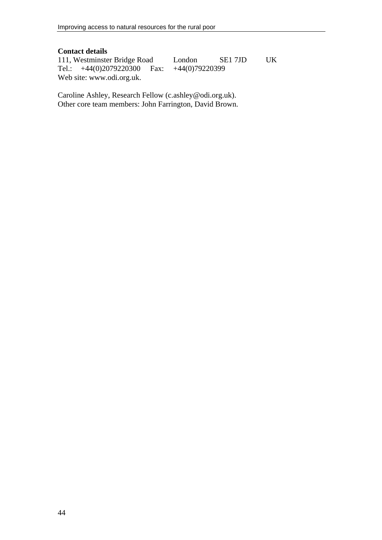### **Contact details**

111, Westminster Bridge Road London SE1 7JD UK<br>Tel.: +44(0)2079220300 Fax: +44(0)79220399 Tel.:  $+44(0)2079220300$  Fax: Web site: www.odi.org.uk.

Caroline Ashley, Research Fellow (c.ashley@odi.org.uk). Other core team members: John Farrington, David Brown.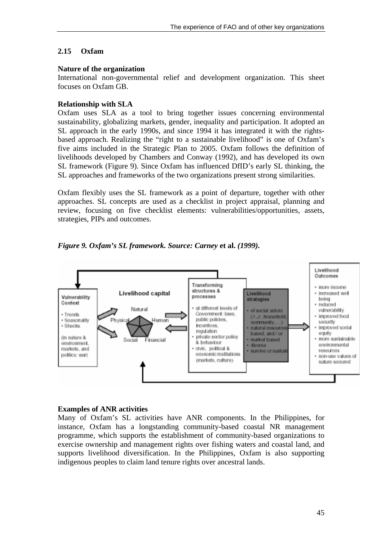# **2.15 Oxfam**

#### **Nature of the organization**

International non-governmental relief and development organization. This sheet focuses on Oxfam GB.

## **Relationship with SLA**

Oxfam uses SLA as a tool to bring together issues concerning environmental sustainability, globalizing markets, gender, inequality and participation. It adopted an SL approach in the early 1990s, and since 1994 it has integrated it with the rightsbased approach. Realizing the "right to a sustainable livelihood" is one of Oxfam's five aims included in the Strategic Plan to 2005. Oxfam follows the definition of livelihoods developed by Chambers and Conway (1992), and has developed its own SL framework (Figure 9). Since Oxfam has influenced DfID's early SL thinking, the SL approaches and frameworks of the two organizations present strong similarities.

Oxfam flexibly uses the SL framework as a point of departure, together with other approaches. SL concepts are used as a checklist in project appraisal, planning and review, focusing on five checklist elements: vulnerabilities/opportunities, assets, strategies, PIPs and outcomes.





#### **Examples of ANR activities**

Many of Oxfam's SL activities have ANR components. In the Philippines, for instance, Oxfam has a longstanding community-based coastal NR management programme, which supports the establishment of community-based organizations to exercise ownership and management rights over fishing waters and coastal land, and supports livelihood diversification. In the Philippines, Oxfam is also supporting indigenous peoples to claim land tenure rights over ancestral lands.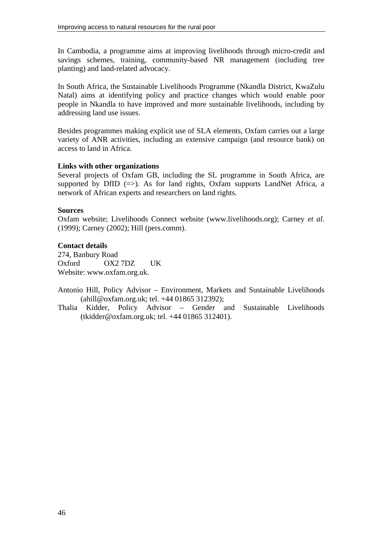In Cambodia, a programme aims at improving livelihoods through micro-credit and savings schemes, training, community-based NR management (including tree planting) and land-related advocacy.

In South Africa, the Sustainable Livelihoods Programme (Nkandla District, KwaZulu Natal) aims at identifying policy and practice changes which would enable poor people in Nkandla to have improved and more sustainable livelihoods, including by addressing land use issues.

Besides programmes making explicit use of SLA elements, Oxfam carries out a large variety of ANR activities, including an extensive campaign (and resource bank) on access to land in Africa.

### **Links with other organizations**

Several projects of Oxfam GB, including the SL programme in South Africa, are supported by DfID  $(=)$ . As for land rights, Oxfam supports LandNet Africa, a network of African experts and researchers on land rights.

### **Sources**

Oxfam website; Livelihoods Connect website (www.livelihoods.org); Carney *et al.* (1999); Carney (2002); Hill (pers.comm).

## **Contact details**

274, Banbury Road Oxford OX2 7DZ UK Website: www.oxfam.org.uk.

Antonio Hill, Policy Advisor – Environment, Markets and Sustainable Livelihoods (ahill@oxfam.org.uk; tel. +44 01865 312392);

Thalia Kidder, Policy Advisor – Gender and Sustainable Livelihoods (tkidder@oxfam.org.uk; tel. +44 01865 312401).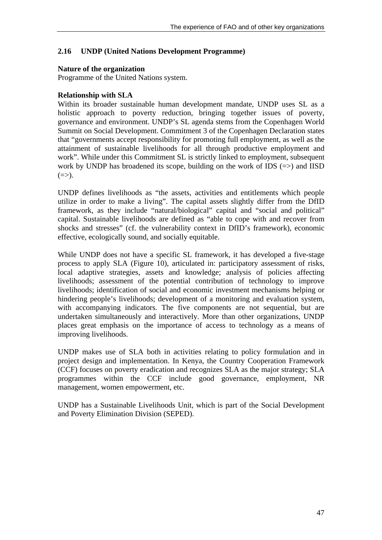## **2.16 UNDP (United Nations Development Programme)**

### **Nature of the organization**

Programme of the United Nations system.

### **Relationship with SLA**

Within its broader sustainable human development mandate, UNDP uses SL as a holistic approach to poverty reduction, bringing together issues of poverty, governance and environment. UNDP's SL agenda stems from the Copenhagen World Summit on Social Development. Commitment 3 of the Copenhagen Declaration states that "governments accept responsibility for promoting full employment, as well as the attainment of sustainable livelihoods for all through productive employment and work". While under this Commitment SL is strictly linked to employment, subsequent work by UNDP has broadened its scope, building on the work of IDS  $(=)$  and IISD  $(\Rightarrow)$ .

UNDP defines livelihoods as "the assets, activities and entitlements which people utilize in order to make a living". The capital assets slightly differ from the DfID framework, as they include "natural/biological" capital and "social and political" capital. Sustainable livelihoods are defined as "able to cope with and recover from shocks and stresses" (cf. the vulnerability context in DfID's framework), economic effective, ecologically sound, and socially equitable.

While UNDP does not have a specific SL framework, it has developed a five-stage process to apply SLA (Figure 10), articulated in: participatory assessment of risks, local adaptive strategies, assets and knowledge; analysis of policies affecting livelihoods; assessment of the potential contribution of technology to improve livelihoods; identification of social and economic investment mechanisms helping or hindering people's livelihoods; development of a monitoring and evaluation system, with accompanying indicators. The five components are not sequential, but are undertaken simultaneously and interactively. More than other organizations, UNDP places great emphasis on the importance of access to technology as a means of improving livelihoods.

UNDP makes use of SLA both in activities relating to policy formulation and in project design and implementation. In Kenya, the Country Cooperation Framework (CCF) focuses on poverty eradication and recognizes SLA as the major strategy; SLA programmes within the CCF include good governance, employment, NR management, women empowerment, etc.

UNDP has a Sustainable Livelihoods Unit, which is part of the Social Development and Poverty Elimination Division (SEPED).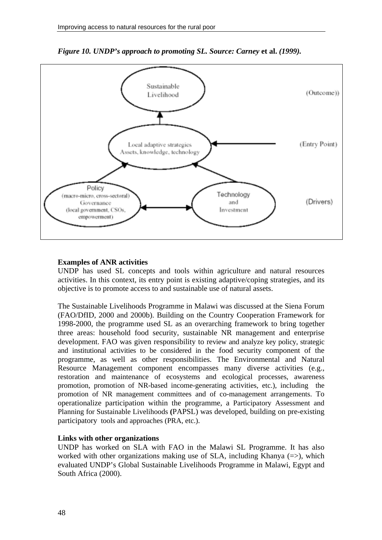

*Figure 10. UNDP's approach to promoting SL. Source: Carney* **et al.** *(1999).* 

#### **Examples of ANR activities**

UNDP has used SL concepts and tools within agriculture and natural resources activities. In this context, its entry point is existing adaptive/coping strategies, and its objective is to promote access to and sustainable use of natural assets.

The Sustainable Livelihoods Programme in Malawi was discussed at the Siena Forum (FAO/DfID, 2000 and 2000b). Building on the Country Cooperation Framework for 1998-2000, the programme used SL as an overarching framework to bring together three areas: household food security, sustainable NR management and enterprise development. FAO was given responsibility to review and analyze key policy, strategic and institutional activities to be considered in the food security component of the programme, as well as other responsibilities. The Environmental and Natural Resource Management component encompasses many diverse activities (e.g., restoration and maintenance of ecosystems and ecological processes, awareness promotion, promotion of NR-based income-generating activities, etc.), including the promotion of NR management committees and of co-management arrangements. To operationalize participation within the programme, a Participatory Assessment and Planning for Sustainable Livelihoods **(**PAPSL) was developed, building on pre-existing participatory tools and approaches (PRA, etc.).

### **Links with other organizations**

UNDP has worked on SLA with FAO in the Malawi SL Programme. It has also worked with other organizations making use of SLA, including Khanya  $(=>)$ , which evaluated UNDP's Global Sustainable Livelihoods Programme in Malawi, Egypt and South Africa (2000).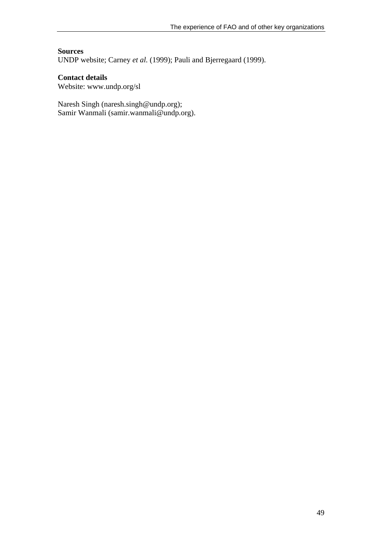#### **Sources**

UNDP website; Carney *et al.* (1999); Pauli and Bjerregaard (1999).

#### **Contact details**

Website: www.undp.org/sl

Naresh Singh (naresh.singh@undp.org); Samir Wanmali (samir.wanmali@undp.org).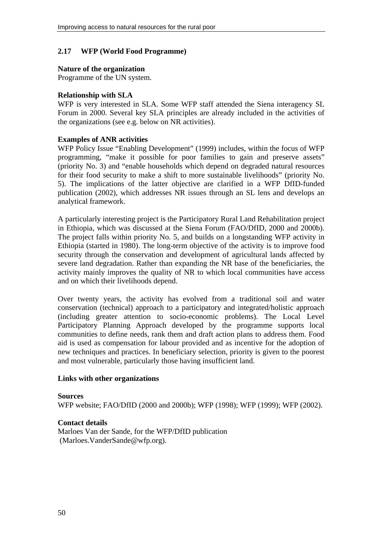### **2.17 WFP (World Food Programme)**

#### **Nature of the organization**

Programme of the UN system.

#### **Relationship with SLA**

WFP is very interested in SLA. Some WFP staff attended the Siena interagency SL Forum in 2000. Several key SLA principles are already included in the activities of the organizations (see e.g. below on NR activities).

#### **Examples of ANR activities**

WFP Policy Issue "Enabling Development" (1999) includes, within the focus of WFP programming, "make it possible for poor families to gain and preserve assets" (priority No. 3) and "enable households which depend on degraded natural resources for their food security to make a shift to more sustainable livelihoods" (priority No. 5). The implications of the latter objective are clarified in a WFP DfID-funded publication (2002), which addresses NR issues through an SL lens and develops an analytical framework.

A particularly interesting project is the Participatory Rural Land Rehabilitation project in Ethiopia, which was discussed at the Siena Forum (FAO/DfID, 2000 and 2000b). The project falls within priority No. 5, and builds on a longstanding WFP activity in Ethiopia (started in 1980). The long-term objective of the activity is to improve food security through the conservation and development of agricultural lands affected by severe land degradation. Rather than expanding the NR base of the beneficiaries, the activity mainly improves the quality of NR to which local communities have access and on which their livelihoods depend.

Over twenty years, the activity has evolved from a traditional soil and water conservation (technical) approach to a participatory and integrated/holistic approach (including greater attention to socio-economic problems). The Local Level Participatory Planning Approach developed by the programme supports local communities to define needs, rank them and draft action plans to address them. Food aid is used as compensation for labour provided and as incentive for the adoption of new techniques and practices. In beneficiary selection, priority is given to the poorest and most vulnerable, particularly those having insufficient land.

#### **Links with other organizations**

#### **Sources**

WFP website; FAO/DfID (2000 and 2000b); WFP (1998); WFP (1999); WFP (2002).

#### **Contact details**

Marloes Van der Sande, for the WFP/DfID publication (Marloes.VanderSande@wfp.org).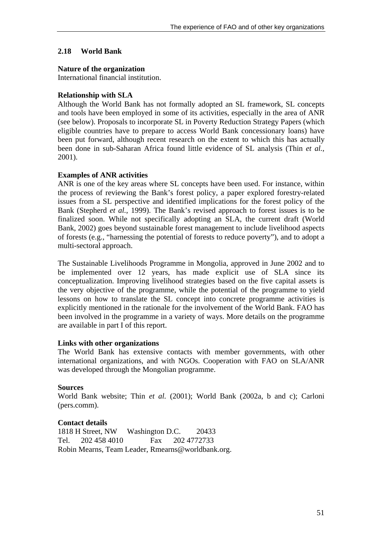### **2.18 World Bank**

#### **Nature of the organization**

International financial institution.

#### **Relationship with SLA**

Although the World Bank has not formally adopted an SL framework, SL concepts and tools have been employed in some of its activities, especially in the area of ANR (see below). Proposals to incorporate SL in Poverty Reduction Strategy Papers (which eligible countries have to prepare to access World Bank concessionary loans) have been put forward, although recent research on the extent to which this has actually been done in sub-Saharan Africa found little evidence of SL analysis (Thin *et al.*, 2001).

#### **Examples of ANR activities**

ANR is one of the key areas where SL concepts have been used. For instance, within the process of reviewing the Bank's forest policy, a paper explored forestry-related issues from a SL perspective and identified implications for the forest policy of the Bank (Stepherd *et al.*, 1999). The Bank's revised approach to forest issues is to be finalized soon. While not specifically adopting an SLA, the current draft (World Bank, 2002) goes beyond sustainable forest management to include livelihood aspects of forests (e.g., "harnessing the potential of forests to reduce poverty"), and to adopt a multi-sectoral approach.

The Sustainable Livelihoods Programme in Mongolia, approved in June 2002 and to be implemented over 12 years, has made explicit use of SLA since its conceptualization. Improving livelihood strategies based on the five capital assets is the very objective of the programme, while the potential of the programme to yield lessons on how to translate the SL concept into concrete programme activities is explicitly mentioned in the rationale for the involvement of the World Bank. FAO has been involved in the programme in a variety of ways. More details on the programme are available in part I of this report.

#### **Links with other organizations**

The World Bank has extensive contacts with member governments, with other international organizations, and with NGOs. Cooperation with FAO on SLA/ANR was developed through the Mongolian programme.

#### **Sources**

World Bank website; Thin *et al.* (2001); World Bank (2002a, b and c); Carloni (pers.comm).

#### **Contact details**

1818 H Street, NW Washington D.C. 20433 Tel. 202 458 4010 Fax 202 4772733 Robin Mearns, Team Leader, Rmearns@worldbank.org.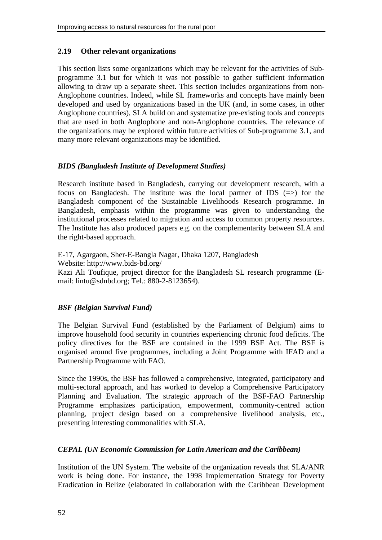# **2.19 Other relevant organizations**

This section lists some organizations which may be relevant for the activities of Subprogramme 3.1 but for which it was not possible to gather sufficient information allowing to draw up a separate sheet. This section includes organizations from non-Anglophone countries. Indeed, while SL frameworks and concepts have mainly been developed and used by organizations based in the UK (and, in some cases, in other Anglophone countries), SLA build on and systematize pre-existing tools and concepts that are used in both Anglophone and non-Anglophone countries. The relevance of the organizations may be explored within future activities of Sub-programme 3.1, and many more relevant organizations may be identified.

# *BIDS (Bangladesh Institute of Development Studies)*

Research institute based in Bangladesh, carrying out development research, with a focus on Bangladesh. The institute was the local partner of IDS  $(=>)$  for the Bangladesh component of the Sustainable Livelihoods Research programme. In Bangladesh, emphasis within the programme was given to understanding the institutional processes related to migration and access to common property resources. The Institute has also produced papers e.g. on the complementarity between SLA and the right-based approach.

E-17, Agargaon, Sher-E-Bangla Nagar, Dhaka 1207, Bangladesh Website: http://www.bids-bd.org/ Kazi Ali Toufique, project director for the Bangladesh SL research programme (Email: lintu@sdnbd.org; Tel.: 880-2-8123654).

## *BSF (Belgian Survival Fund)*

The Belgian Survival Fund (established by the Parliament of Belgium) aims to improve household food security in countries experiencing chronic food deficits. The policy directives for the BSF are contained in the 1999 BSF Act. The BSF is organised around five programmes, including a Joint Programme with IFAD and a Partnership Programme with FAO.

Since the 1990s, the BSF has followed a comprehensive, integrated, participatory and multi-sectoral approach, and has worked to develop a Comprehensive Participatory Planning and Evaluation. The strategic approach of the BSF-FAO Partnership Programme emphasizes participation, empowerment, community-centred action planning, project design based on a comprehensive livelihood analysis, etc., presenting interesting commonalities with SLA.

# *CEPAL (UN Economic Commission for Latin American and the Caribbean)*

Institution of the UN System. The website of the organization reveals that SLA/ANR work is being done. For instance, the 1998 Implementation Strategy for Poverty Eradication in Belize (elaborated in collaboration with the Caribbean Development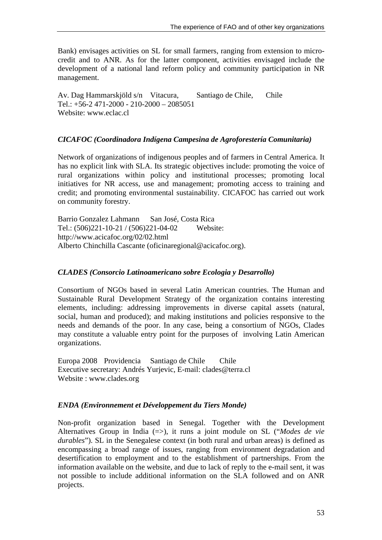Bank) envisages activities on SL for small farmers, ranging from extension to microcredit and to ANR. As for the latter component, activities envisaged include the development of a national land reform policy and community participation in NR management.

Av. Dag Hammarskjöld s/n Vitacura, Santiago de Chile, Chile Tel.:  $+56-2471-2000 - 210-2000 - 2085051$ Website: www.eclac.cl

#### *CICAFOC (Coordinadora Indígena Campesina de Agroforestería Comunitaria)*

Network of organizations of indigenous peoples and of farmers in Central America. It has no explicit link with SLA. Its strategic objectives include: promoting the voice of rural organizations within policy and institutional processes; promoting local initiatives for NR access, use and management; promoting access to training and credit; and promoting environmental sustainability. CICAFOC has carried out work on community forestry.

Barrio Gonzalez Lahmann San José, Costa Rica Tel.: (506)221-10-21 / (506)221-04-02 Website: http://www.acicafoc.org/02/02.html Alberto Chinchilla Cascante (oficinaregional@acicafoc.org).

#### *CLADES (Consorcio Latinoamericano sobre Ecologia y Desarrollo)*

Consortium of NGOs based in several Latin American countries. The Human and Sustainable Rural Development Strategy of the organization contains interesting elements, including: addressing improvements in diverse capital assets (natural, social, human and produced); and making institutions and policies responsive to the needs and demands of the poor. In any case, being a consortium of NGOs, Clades may constitute a valuable entry point for the purposes of involving Latin American organizations.

Europa 2008 Providencia Santiago de Chile Chile Executive secretary: Andrés Yurjevic, E-mail: clades@terra.cl Website : www.clades.org

#### *ENDA (Environnement et Développement du Tiers Monde)*

Non-profit organization based in Senegal. Together with the Development Alternatives Group in India (=>), it runs a joint module on SL ("*Modes de vie durables*"). SL in the Senegalese context (in both rural and urban areas) is defined as encompassing a broad range of issues, ranging from environment degradation and desertification to employment and to the establishment of partnerships. From the information available on the website, and due to lack of reply to the e-mail sent, it was not possible to include additional information on the SLA followed and on ANR projects.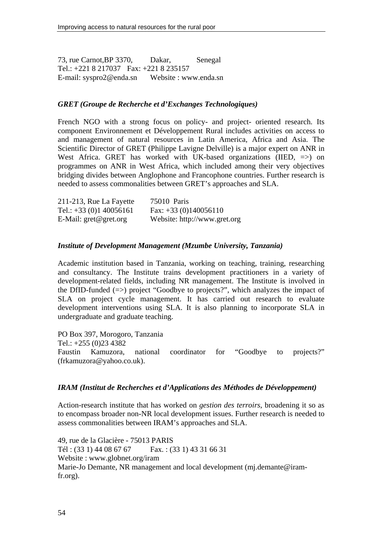73, rue Carnot,BP 3370, Dakar, Senegal Tel.: +221 8 217037 Fax: +221 8 235157 E-mail: syspro2@enda.sn Website : www.enda.sn

#### *GRET (Groupe de Recherche et d'Exchanges Technologiques)*

French NGO with a strong focus on policy- and project- oriented research. Its component Environnement et Développement Rural includes activities on access to and management of natural resources in Latin America, Africa and Asia. The Scientific Director of GRET (Philippe Lavigne Delville) is a major expert on ANR in West Africa. GRET has worked with UK-based organizations (IIED,  $\Rightarrow$ ) on programmes on ANR in West Africa, which included among their very objectives bridging divides between Anglophone and Francophone countries. Further research is needed to assess commonalities between GRET's approaches and SLA.

| 211-213, Rue La Fayette               | 75010 Paris                  |
|---------------------------------------|------------------------------|
| Tel.: $+33(0)140056161$               | Fax: $+33(0)140056110$       |
| E-Mail: $\text{gret}@\text{gret.org}$ | Website: http://www.gret.org |

### *Institute of Development Management (Mzumbe University, Tanzania)*

Academic institution based in Tanzania, working on teaching, training, researching and consultancy. The Institute trains development practitioners in a variety of development-related fields, including NR management. The Institute is involved in the DfID-funded  $(\Rightarrow)$  project "Goodbye to projects?", which analyzes the impact of SLA on project cycle management. It has carried out research to evaluate development interventions using SLA. It is also planning to incorporate SLA in undergraduate and graduate teaching.

PO Box 397, Morogoro, Tanzania

Tel.: +255 (0)23 4382

Faustin Kamuzora, national coordinator for "Goodbye to projects?" (frkamuzora@yahoo.co.uk).

#### *IRAM (Institut de Recherches et d'Applications des Méthodes de Développement)*

Action-research institute that has worked on *gestion des terroirs*, broadening it so as to encompass broader non-NR local development issues. Further research is needed to assess commonalities between IRAM's approaches and SLA.

49, rue de la Glacière - 75013 PARIS Tél : (33 1) 44 08 67 67 Fax. : (33 1) 43 31 66 31 Website : www.globnet.org/iram Marie-Jo Demante, NR management and local development (mj.demante@iramfr.org).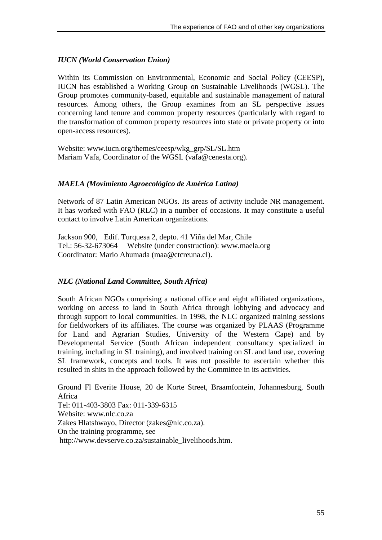# *IUCN (World Conservation Union)*

Within its Commission on Environmental, Economic and Social Policy (CEESP), IUCN has established a Working Group on Sustainable Livelihoods (WGSL). The Group promotes community-based, equitable and sustainable management of natural resources. Among others, the Group examines from an SL perspective issues concerning land tenure and common property resources (particularly with regard to the transformation of common property resources into state or private property or into open-access resources).

Website: www.iucn.org/themes/ceesp/wkg\_grp/SL/SL.htm Mariam Vafa, Coordinator of the WGSL (vafa@cenesta.org).

## *MAELA (Movimiento Agroecológico de América Latina)*

Network of 87 Latin American NGOs. Its areas of activity include NR management. It has worked with FAO (RLC) in a number of occasions. It may constitute a useful contact to involve Latin American organizations.

Jackson 900, Edif. Turquesa 2, depto. 41 Viña del Mar, Chile Tel.: 56-32-673064 Website (under construction): www.maela.org Coordinator: Mario Ahumada (maa@ctcreuna.cl).

## *NLC (National Land Committee, South Africa)*

South African NGOs comprising a national office and eight affiliated organizations, working on access to land in South Africa through lobbying and advocacy and through support to local communities. In 1998, the NLC organized training sessions for fieldworkers of its affiliates. The course was organized by PLAAS (Programme for Land and Agrarian Studies, University of the Western Cape) and by Developmental Service (South African independent consultancy specialized in training, including in SL training), and involved training on SL and land use, covering SL framework, concepts and tools. It was not possible to ascertain whether this resulted in shits in the approach followed by the Committee in its activities.

Ground Fl Everite House, 20 de Korte Street, Braamfontein, Johannesburg, South Africa Tel: 011-403-3803 Fax: 011-339-6315 Website: www.nlc.co.za Zakes Hlatshwayo, Director (zakes@nlc.co.za). On the training programme, see http://www.devserve.co.za/sustainable\_livelihoods.htm.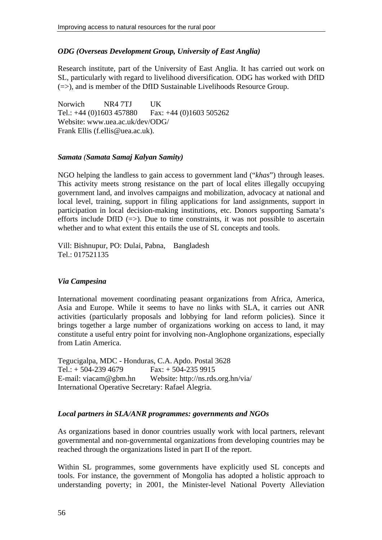# *ODG (Overseas Development Group, University of East Anglia)*

Research institute, part of the University of East Anglia. It has carried out work on SL, particularly with regard to livelihood diversification. ODG has worked with DfID  $(=>)$ , and is member of the DfID Sustainable Livelihoods Resource Group.

Norwich NR4 7TJ UK Tel.: +44 (0)1603 457880 Fax: +44 (0)1603 505262 Website: www.uea.ac.uk/dev/ODG/ Frank Ellis (f.ellis@uea.ac.uk).

### *Samata (Samata Samaj Kalyan Samity)*

NGO helping the landless to gain access to government land ("*khas*") through leases. This activity meets strong resistance on the part of local elites illegally occupying government land, and involves campaigns and mobilization, advocacy at national and local level, training, support in filing applications for land assignments, support in participation in local decision-making institutions, etc. Donors supporting Samata's efforts include DfID  $(\Rightarrow)$ . Due to time constraints, it was not possible to ascertain whether and to what extent this entails the use of SL concepts and tools.

Vill: Bishnupur, PO: Dulai, Pabna, Bangladesh Tel.: 017521135

## *Via Campesina*

International movement coordinating peasant organizations from Africa, America, Asia and Europe. While it seems to have no links with SLA, it carries out ANR activities (particularly proposals and lobbying for land reform policies). Since it brings together a large number of organizations working on access to land, it may constitute a useful entry point for involving non-Anglophone organizations, especially from Latin America.

Tegucigalpa, MDC - Honduras, C.A. Apdo. Postal 3628 Tel.:  $+ 504-239 4679$  Fax:  $+ 504-235 9915$ E-mail: viacam@gbm.hn Website: http://ns.rds.org.hn/via/ International Operative Secretary: Rafael Alegria.

## *Local partners in SLA/ANR programmes: governments and NGOs*

As organizations based in donor countries usually work with local partners, relevant governmental and non-governmental organizations from developing countries may be reached through the organizations listed in part II of the report.

Within SL programmes, some governments have explicitly used SL concepts and tools. For instance, the government of Mongolia has adopted a holistic approach to understanding poverty; in 2001, the Minister-level National Poverty Alleviation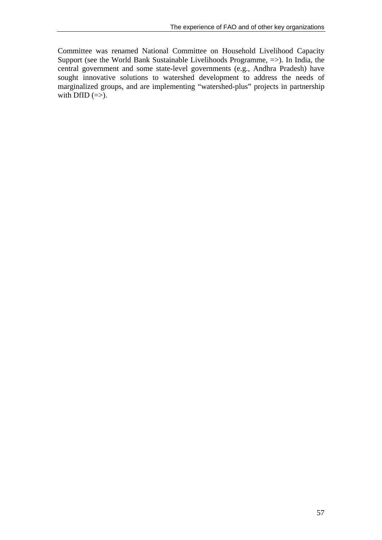Committee was renamed National Committee on Household Livelihood Capacity Support (see the World Bank Sustainable Livelihoods Programme, =>). In India, the central government and some state-level governments (e.g., Andhra Pradesh) have sought innovative solutions to watershed development to address the needs of marginalized groups, and are implementing "watershed-plus" projects in partnership with DfID  $(\Rightarrow)$ .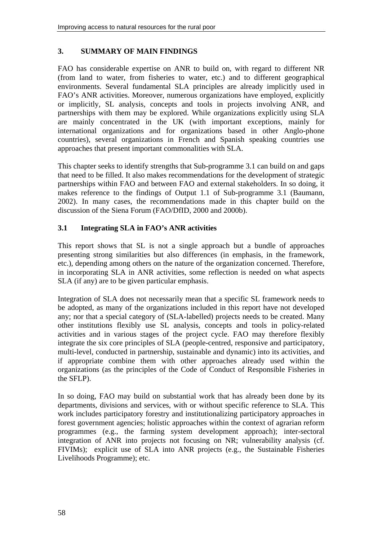# **3. SUMMARY OF MAIN FINDINGS**

FAO has considerable expertise on ANR to build on, with regard to different NR (from land to water, from fisheries to water, etc.) and to different geographical environments. Several fundamental SLA principles are already implicitly used in FAO's ANR activities. Moreover, numerous organizations have employed, explicitly or implicitly, SL analysis, concepts and tools in projects involving ANR, and partnerships with them may be explored. While organizations explicitly using SLA are mainly concentrated in the UK (with important exceptions, mainly for international organizations and for organizations based in other Anglo-phone countries), several organizations in French and Spanish speaking countries use approaches that present important commonalities with SLA.

This chapter seeks to identify strengths that Sub-programme 3.1 can build on and gaps that need to be filled. It also makes recommendations for the development of strategic partnerships within FAO and between FAO and external stakeholders. In so doing, it makes reference to the findings of Output 1.1 of Sub-programme 3.1 (Baumann, 2002). In many cases, the recommendations made in this chapter build on the discussion of the Siena Forum (FAO/DfID, 2000 and 2000b).

# **3.1 Integrating SLA in FAO's ANR activities**

This report shows that SL is not a single approach but a bundle of approaches presenting strong similarities but also differences (in emphasis, in the framework, etc.), depending among others on the nature of the organization concerned. Therefore, in incorporating SLA in ANR activities, some reflection is needed on what aspects SLA (if any) are to be given particular emphasis.

Integration of SLA does not necessarily mean that a specific SL framework needs to be adopted, as many of the organizations included in this report have not developed any; nor that a special category of (SLA-labelled) projects needs to be created. Many other institutions flexibly use SL analysis, concepts and tools in policy-related activities and in various stages of the project cycle. FAO may therefore flexibly integrate the six core principles of SLA (people-centred, responsive and participatory, multi-level, conducted in partnership, sustainable and dynamic) into its activities, and if appropriate combine them with other approaches already used within the organizations (as the principles of the Code of Conduct of Responsible Fisheries in the SFLP).

In so doing, FAO may build on substantial work that has already been done by its departments, divisions and services, with or without specific reference to SLA. This work includes participatory forestry and institutionalizing participatory approaches in forest government agencies; holistic approaches within the context of agrarian reform programmes (e.g., the farming system development approach); inter-sectoral integration of ANR into projects not focusing on NR; vulnerability analysis (cf. FIVIMs); explicit use of SLA into ANR projects (e.g., the Sustainable Fisheries Livelihoods Programme); etc.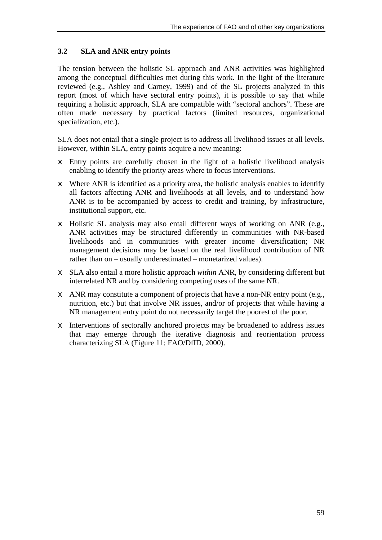# **3.2 SLA and ANR entry points**

The tension between the holistic SL approach and ANR activities was highlighted among the conceptual difficulties met during this work. In the light of the literature reviewed (e.g., Ashley and Carney, 1999) and of the SL projects analyzed in this report (most of which have sectoral entry points), it is possible to say that while requiring a holistic approach, SLA are compatible with "sectoral anchors". These are often made necessary by practical factors (limited resources, organizational specialization, etc.).

SLA does not entail that a single project is to address all livelihood issues at all levels. However, within SLA, entry points acquire a new meaning:

- $\epsilon$  Entry points are carefully chosen in the light of a holistic livelihood analysis enabling to identify the priority areas where to focus interventions.
- $\neq$  Where ANR is identified as a priority area, the holistic analysis enables to identify all factors affecting ANR and livelihoods at all levels, and to understand how ANR is to be accompanied by access to credit and training, by infrastructure, institutional support, etc.
- $\epsilon$  Holistic SL analysis may also entail different ways of working on ANR (e.g., ANR activities may be structured differently in communities with NR-based livelihoods and in communities with greater income diversification; NR management decisions may be based on the real livelihood contribution of NR rather than on – usually underestimated – monetarized values).
- $\epsilon$  SLA also entail a more holistic approach *within* ANR, by considering different but interrelated NR and by considering competing uses of the same NR.
- $\epsilon$  ANR may constitute a component of projects that have a non-NR entry point (e.g., nutrition, etc.) but that involve NR issues, and/or of projects that while having a NR management entry point do not necessarily target the poorest of the poor.
- $\epsilon$  Interventions of sectorally anchored projects may be broadened to address issues that may emerge through the iterative diagnosis and reorientation process characterizing SLA (Figure 11; FAO/DfID, 2000).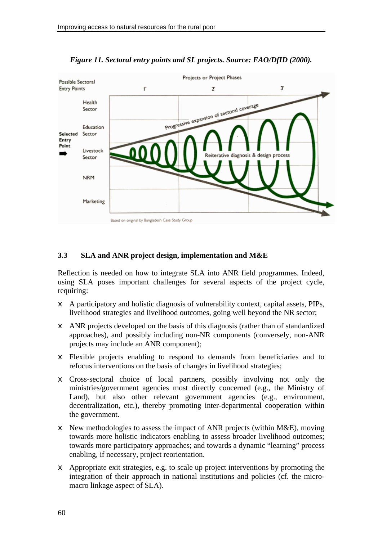

*Figure 11. Sectoral entry points and SL projects. Source: FAO/DfID (2000).* 

## **3.3 SLA and ANR project design, implementation and M&E**

Reflection is needed on how to integrate SLA into ANR field programmes. Indeed, using SLA poses important challenges for several aspects of the project cycle, requiring:

- $\epsilon$  A participatory and holistic diagnosis of vulnerability context, capital assets, PIPs, livelihood strategies and livelihood outcomes, going well beyond the NR sector;
- $\epsilon$  ANR projects developed on the basis of this diagnosis (rather than of standardized approaches), and possibly including non-NR components (conversely, non-ANR projects may include an ANR component);
- $\epsilon$  Flexible projects enabling to respond to demands from beneficiaries and to refocus interventions on the basis of changes in livelihood strategies;
- $\epsilon$  Cross-sectoral choice of local partners, possibly involving not only the ministries/government agencies most directly concerned (e.g., the Ministry of Land), but also other relevant government agencies (e.g., environment, decentralization, etc.), thereby promoting inter-departmental cooperation within the government.
- $\epsilon$  New methodologies to assess the impact of ANR projects (within M&E), moving towards more holistic indicators enabling to assess broader livelihood outcomes; towards more participatory approaches; and towards a dynamic "learning" process enabling, if necessary, project reorientation.
- $\epsilon$  Appropriate exit strategies, e.g. to scale up project interventions by promoting the integration of their approach in national institutions and policies (cf. the micromacro linkage aspect of SLA).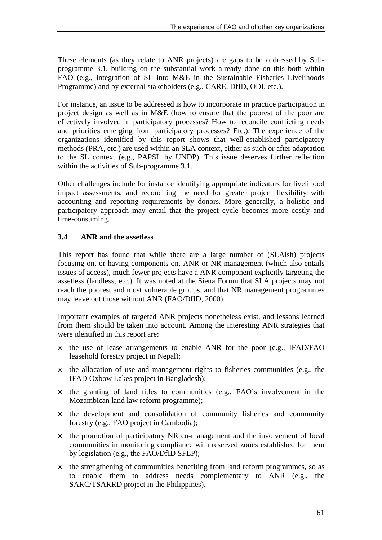These elements (as they relate to ANR projects) are gaps to be addressed by Subprogramme 3.1, building on the substantial work already done on this both within FAO (e.g., integration of SL into M&E in the Sustainable Fisheries Livelihoods Programme) and by external stakeholders (e.g., CARE, DfID, ODI, etc.).

For instance, an issue to be addressed is how to incorporate in practice participation in project design as well as in M&E (how to ensure that the poorest of the poor are effectively involved in participatory processes? How to reconcile conflicting needs and priorities emerging from participatory processes? Etc.). The experience of the organizations identified by this report shows that well-established participatory methods (PRA, etc.) are used within an SLA context, either as such or after adaptation to the SL context (e.g., PAPSL by UNDP). This issue deserves further reflection within the activities of Sub-programme 3.1.

Other challenges include for instance identifying appropriate indicators for livelihood impact assessments, and reconciling the need for greater project flexibility with accounting and reporting requirements by donors. More generally, a holistic and participatory approach may entail that the project cycle becomes more costly and time-consuming.

# **3.4 ANR and the assetless**

This report has found that while there are a large number of (SLAish) projects focusing on, or having components on, ANR or NR management (which also entails issues of access), much fewer projects have a ANR component explicitly targeting the assetless (landless, etc.). It was noted at the Siena Forum that SLA projects may not reach the poorest and most vulnerable groups, and that NR management programmes may leave out those without ANR (FAO/DfID, 2000).

Important examples of targeted ANR projects nonetheless exist, and lessons learned from them should be taken into account. Among the interesting ANR strategies that were identified in this report are:

- $\notin$  the use of lease arrangements to enable ANR for the poor (e.g., IFAD/FAO leasehold forestry project in Nepal);
- $\neq$  the allocation of use and management rights to fisheries communities (e.g., the IFAD Oxbow Lakes project in Bangladesh);
- $\neq$  the granting of land titles to communities (e.g., FAO's involvement in the Mozambican land law reform programme);
- $\neq$  the development and consolidation of community fisheries and community forestry (e.g., FAO project in Cambodia);
- $\neq$  the promotion of participatory NR co-management and the involvement of local communities in monitoring compliance with reserved zones established for them by legislation (e.g., the FAO/DfID SFLP);
- $\epsilon$  the strengthening of communities benefiting from land reform programmes, so as to enable them to address needs complementary to ANR (e.g., the SARC/TSARRD project in the Philippines).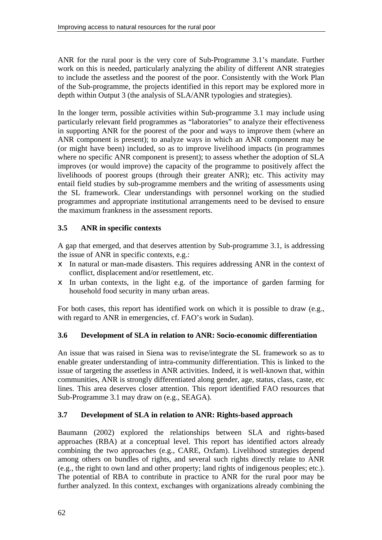ANR for the rural poor is the very core of Sub-Programme 3.1's mandate. Further work on this is needed, particularly analyzing the ability of different ANR strategies to include the assetless and the poorest of the poor. Consistently with the Work Plan of the Sub-programme, the projects identified in this report may be explored more in depth within Output 3 (the analysis of SLA/ANR typologies and strategies).

In the longer term, possible activities within Sub-programme 3.1 may include using particularly relevant field programmes as "laboratories" to analyze their effectiveness in supporting ANR for the poorest of the poor and ways to improve them (where an ANR component is present); to analyze ways in which an ANR component may be (or might have been) included, so as to improve livelihood impacts (in programmes where no specific ANR component is present); to assess whether the adoption of SLA improves (or would improve) the capacity of the programme to positively affect the livelihoods of poorest groups (through their greater ANR); etc. This activity may entail field studies by sub-programme members and the writing of assessments using the SL framework. Clear understandings with personnel working on the studied programmes and appropriate institutional arrangements need to be devised to ensure the maximum frankness in the assessment reports.

# **3.5 ANR in specific contexts**

A gap that emerged, and that deserves attention by Sub-programme 3.1, is addressing the issue of ANR in specific contexts, e.g.:

- $\epsilon$  In natural or man-made disasters. This requires addressing ANR in the context of conflict, displacement and/or resettlement, etc.
- $\epsilon$  In urban contexts, in the light e.g. of the importance of garden farming for household food security in many urban areas.

For both cases, this report has identified work on which it is possible to draw (e.g., with regard to ANR in emergencies, cf. FAO's work in Sudan).

## **3.6 Development of SLA in relation to ANR: Socio-economic differentiation**

An issue that was raised in Siena was to revise/integrate the SL framework so as to enable greater understanding of intra-community differentiation. This is linked to the issue of targeting the assetless in ANR activities. Indeed, it is well-known that, within communities, ANR is strongly differentiated along gender, age, status, class, caste, etc lines. This area deserves closer attention. This report identified FAO resources that Sub-Programme 3.1 may draw on (e.g., SEAGA).

## **3.7 Development of SLA in relation to ANR: Rights-based approach**

Baumann (2002) explored the relationships between SLA and rights-based approaches (RBA) at a conceptual level. This report has identified actors already combining the two approaches (e.g., CARE, Oxfam). Livelihood strategies depend among others on bundles of rights, and several such rights directly relate to ANR (e.g., the right to own land and other property; land rights of indigenous peoples; etc.). The potential of RBA to contribute in practice to ANR for the rural poor may be further analyzed. In this context, exchanges with organizations already combining the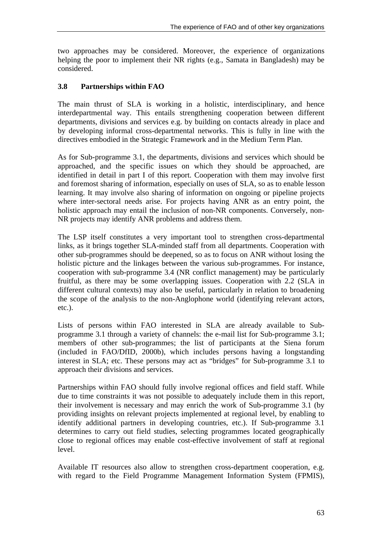two approaches may be considered. Moreover, the experience of organizations helping the poor to implement their NR rights (e.g., Samata in Bangladesh) may be considered.

# **3.8 Partnerships within FAO**

The main thrust of SLA is working in a holistic, interdisciplinary, and hence interdepartmental way. This entails strengthening cooperation between different departments, divisions and services e.g. by building on contacts already in place and by developing informal cross-departmental networks. This is fully in line with the directives embodied in the Strategic Framework and in the Medium Term Plan.

As for Sub-programme 3.1, the departments, divisions and services which should be approached, and the specific issues on which they should be approached, are identified in detail in part I of this report. Cooperation with them may involve first and foremost sharing of information, especially on uses of SLA, so as to enable lesson learning. It may involve also sharing of information on ongoing or pipeline projects where inter-sectoral needs arise. For projects having ANR as an entry point, the holistic approach may entail the inclusion of non-NR components. Conversely, non-NR projects may identify ANR problems and address them.

The LSP itself constitutes a very important tool to strengthen cross-departmental links, as it brings together SLA-minded staff from all departments. Cooperation with other sub-programmes should be deepened, so as to focus on ANR without losing the holistic picture and the linkages between the various sub-programmes. For instance, cooperation with sub-programme 3.4 (NR conflict management) may be particularly fruitful, as there may be some overlapping issues. Cooperation with 2.2 (SLA in different cultural contexts) may also be useful, particularly in relation to broadening the scope of the analysis to the non-Anglophone world (identifying relevant actors, etc.).

Lists of persons within FAO interested in SLA are already available to Subprogramme 3.1 through a variety of channels: the e-mail list for Sub-programme 3.1; members of other sub-programmes; the list of participants at the Siena forum (included in FAO/DfID, 2000b), which includes persons having a longstanding interest in SLA; etc. These persons may act as "bridges" for Sub-programme 3.1 to approach their divisions and services.

Partnerships within FAO should fully involve regional offices and field staff. While due to time constraints it was not possible to adequately include them in this report, their involvement is necessary and may enrich the work of Sub-programme 3.1 (by providing insights on relevant projects implemented at regional level, by enabling to identify additional partners in developing countries, etc.). If Sub-programme 3.1 determines to carry out field studies, selecting programmes located geographically close to regional offices may enable cost-effective involvement of staff at regional level.

Available IT resources also allow to strengthen cross-department cooperation, e.g. with regard to the Field Programme Management Information System (FPMIS),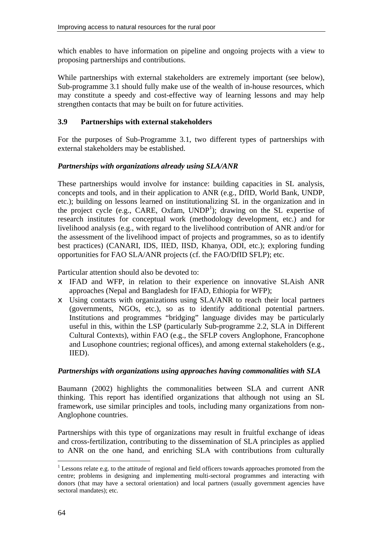which enables to have information on pipeline and ongoing projects with a view to proposing partnerships and contributions.

While partnerships with external stakeholders are extremely important (see below), Sub-programme 3.1 should fully make use of the wealth of in-house resources, which may constitute a speedy and cost-effective way of learning lessons and may help strengthen contacts that may be built on for future activities.

### **3.9 Partnerships with external stakeholders**

For the purposes of Sub-Programme 3.1, two different types of partnerships with external stakeholders may be established.

### *Partnerships with organizations already using SLA/ANR*

These partnerships would involve for instance: building capacities in SL analysis, concepts and tools, and in their application to ANR (e.g., DfID, World Bank, UNDP, etc.); building on lessons learned on institutionalizing SL in the organization and in the project cycle (e.g., CARE, Oxfam, UNDP<sup>1</sup>); drawing on the SL expertise of research institutes for conceptual work (methodology development, etc.) and for livelihood analysis (e.g., with regard to the livelihood contribution of ANR and/or for the assessment of the livelihood impact of projects and programmes, so as to identify best practices) (CANARI, IDS, IIED, IISD, Khanya, ODI, etc.); exploring funding opportunities for FAO SLA/ANR projects (cf. the FAO/DfID SFLP); etc.

Particular attention should also be devoted to:

- $\epsilon$  IFAD and WFP, in relation to their experience on innovative SLAish ANR approaches (Nepal and Bangladesh for IFAD, Ethiopia for WFP);
- $\epsilon$  Using contacts with organizations using SLA/ANR to reach their local partners (governments, NGOs, etc.), so as to identify additional potential partners. Institutions and programmes "bridging" language divides may be particularly useful in this, within the LSP (particularly Sub-programme 2.2, SLA in Different Cultural Contexts), within FAO (e.g., the SFLP covers Anglophone, Francophone and Lusophone countries; regional offices), and among external stakeholders (e.g., IIED).

#### *Partnerships with organizations using approaches having commonalities with SLA*

Baumann (2002) highlights the commonalities between SLA and current ANR thinking. This report has identified organizations that although not using an SL framework, use similar principles and tools, including many organizations from non-Anglophone countries.

Partnerships with this type of organizations may result in fruitful exchange of ideas and cross-fertilization, contributing to the dissemination of SLA principles as applied to ANR on the one hand, and enriching SLA with contributions from culturally

 $1$  Lessons relate e.g. to the attitude of regional and field officers towards approaches promoted from the centre; problems in designing and implementing multi-sectoral programmes and interacting with donors (that may have a sectoral orientation) and local partners (usually government agencies have sectoral mandates); etc.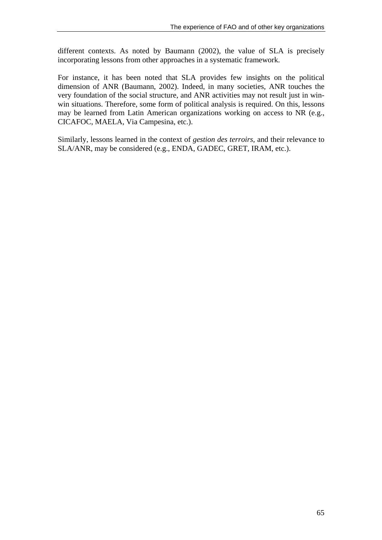different contexts. As noted by Baumann (2002), the value of SLA is precisely incorporating lessons from other approaches in a systematic framework.

For instance, it has been noted that SLA provides few insights on the political dimension of ANR (Baumann, 2002). Indeed, in many societies, ANR touches the very foundation of the social structure, and ANR activities may not result just in winwin situations. Therefore, some form of political analysis is required. On this, lessons may be learned from Latin American organizations working on access to NR (e.g., CICAFOC, MAELA, Via Campesina, etc.).

Similarly, lessons learned in the context of *gestion des terroirs*, and their relevance to SLA/ANR, may be considered (e.g., ENDA, GADEC, GRET, IRAM, etc.).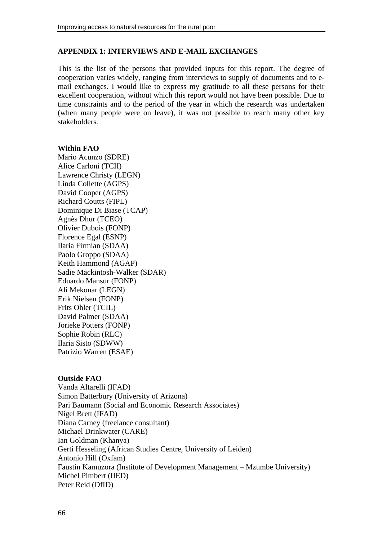### **APPENDIX 1: INTERVIEWS AND E-MAIL EXCHANGES**

This is the list of the persons that provided inputs for this report. The degree of cooperation varies widely, ranging from interviews to supply of documents and to email exchanges. I would like to express my gratitude to all these persons for their excellent cooperation, without which this report would not have been possible. Due to time constraints and to the period of the year in which the research was undertaken (when many people were on leave), it was not possible to reach many other key stakeholders.

#### **Within FAO**

Mario Acunzo (SDRE) Alice Carloni (TCII) Lawrence Christy (LEGN) Linda Collette (AGPS) David Cooper (AGPS) Richard Coutts (FIPL) Dominique Di Biase (TCAP) Agnès Dhur (TCEO) Olivier Dubois (FONP) Florence Egal (ESNP) Ilaria Firmian (SDAA) Paolo Groppo (SDAA) Keith Hammond (AGAP) Sadie Mackintosh-Walker (SDAR) Eduardo Mansur (FONP) Ali Mekouar (LEGN) Erik Nielsen (FONP) Frits Ohler (TCIL) David Palmer (SDAA) Jorieke Potters (FONP) Sophie Robin (RLC) Ilaria Sisto (SDWW) Patrizio Warren (ESAE)

#### **Outside FAO**

Vanda Altarelli (IFAD) Simon Batterbury (University of Arizona) Pari Baumann (Social and Economic Research Associates) Nigel Brett (IFAD) Diana Carney (freelance consultant) Michael Drinkwater (CARE) Ian Goldman (Khanya) Gerti Hesseling (African Studies Centre, University of Leiden) Antonio Hill (Oxfam) Faustin Kamuzora (Institute of Development Management – Mzumbe University) Michel Pimbert (IIED) Peter Reid (DfID)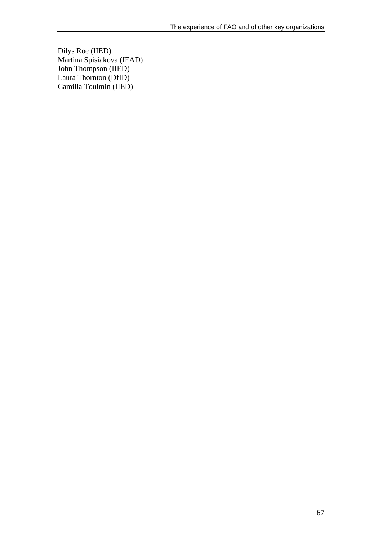Dilys Roe (IIED) Martina Spisiakova (IFAD) John Thompson (IIED) Laura Thornton (DfID) Camilla Toulmin (IIED)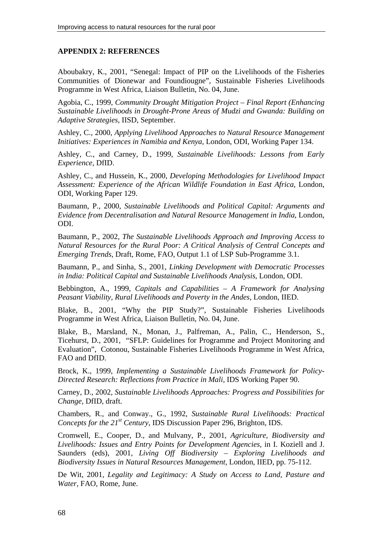### **APPENDIX 2: REFERENCES**

Aboubakry, K., 2001, "Senegal: Impact of PIP on the Livelihoods of the Fisheries Communities of Dionewar and Foundiougne", Sustainable Fisheries Livelihoods Programme in West Africa, Liaison Bulletin, No. 04, June.

Agobia, C., 1999, *Community Drought Mitigation Project – Final Report (Enhancing Sustainable Livelihoods in Drought-Prone Areas of Mudzi and Gwanda: Building on Adaptive Strategies*, IISD, September.

Ashley, C., 2000, *Applying Livelihood Approaches to Natural Resource Management Initiatives: Experiences in Namibia and Kenya*, London, ODI, Working Paper 134.

Ashley, C., and Carney, D., 1999, *Sustainable Livelihoods: Lessons from Early Experience*, DfID.

Ashley, C., and Hussein, K., 2000, *Developing Methodologies for Livelihood Impact Assessment: Experience of the African Wildlife Foundation in East Africa*, London, ODI, Working Paper 129.

Baumann, P., 2000, *Sustainable Livelihoods and Political Capital: Arguments and Evidence from Decentralisation and Natural Resource Management in India*, London, ODI.

Baumann, P., 2002, *The Sustainable Livelihoods Approach and Improving Access to Natural Resources for the Rural Poor: A Critical Analysis of Central Concepts and Emerging Trends*, Draft, Rome, FAO, Output 1.1 of LSP Sub-Programme 3.1.

Baumann, P., and Sinha, S., 2001, *Linking Development with Democratic Processes in India: Political Capital and Sustainable Livelihoods Analysis*, London, ODI.

Bebbington, A., 1999, *Capitals and Capabilities – A Framework for Analysing Peasant Viability, Rural Livelihoods and Poverty in the Andes*, London, IIED.

Blake, B., 2001, "Why the PIP Study?", Sustainable Fisheries Livelihoods Programme in West Africa, Liaison Bulletin, No. 04, June.

Blake, B., Marsland, N., Monan, J., Palfreman, A., Palin, C., Henderson, S., Ticehurst, D., 2001, "SFLP: Guidelines for Programme and Project Monitoring and Evaluation", Cotonou, Sustainable Fisheries Livelihoods Programme in West Africa, FAO and DfID.

Brock, K., 1999, *Implementing a Sustainable Livelihoods Framework for Policy-Directed Research: Reflections from Practice in Mali*, IDS Working Paper 90.

Carney, D., 2002, *Sustainable Livelihoods Approaches: Progress and Possibilities for Change*, DfID, draft.

Chambers, R., and Conway., G., 1992, *Sustainable Rural Livelihoods: Practical Concepts for the 21<sup>st</sup> Century*, IDS Discussion Paper 296, Brighton, IDS.

Cromwell, E., Cooper, D., and Mulvany, P., 2001, *Agriculture, Biodiversity and Livelihoods: Issues and Entry Points for Development Agencies*, in I. Koziell and J. Saunders (eds), 2001, *Living Off Biodiversity – Exploring Livelihoods and Biodiversity Issues in Natural Resources Management*, London, IIED, pp. 75-112.

De Wit, 2001, *Legality and Legitimacy: A Study on Access to Land, Pasture and Water*, FAO, Rome, June.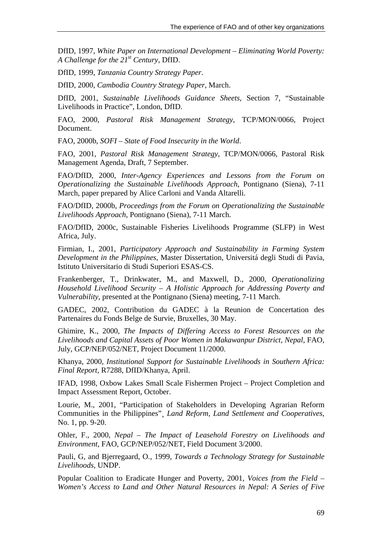DfID, 1997, *White Paper on International Development – Eliminating World Poverty: A Challenge for the 21st Century*, DfID.

DfID, 1999, *Tanzania Country Strategy Paper*.

DfID, 2000, *Cambodia Country Strategy Paper*, March.

DfID, 2001, *Sustainable Livelihoods Guidance Sheets*, Section 7, "Sustainable Livelihoods in Practice", London, DfID.

FAO, 2000, *Pastoral Risk Management Strategy*, TCP/MON/0066, Project Document.

FAO, 2000b, *SOFI – State of Food Insecurity in the World*.

FAO, 2001, *Pastoral Risk Management Strategy*, TCP/MON/0066, Pastoral Risk Management Agenda, Draft, 7 September.

FAO/DfID, 2000, *Inter-Agency Experiences and Lessons from the Forum on Operationalizing the Sustainable Livelihoods Approach*, Pontignano (Siena), 7-11 March, paper prepared by Alice Carloni and Vanda Altarelli.

FAO/DfID, 2000b, *Proceedings from the Forum on Operationalizing the Sustainable Livelihoods Approach*, Pontignano (Siena), 7-11 March.

FAO/DfID, 2000c, Sustainable Fisheries Livelihoods Programme (SLFP) in West Africa, July.

Firmian, I., 2001, *Participatory Approach and Sustainability in Farming System Development in the Philippines*, Master Dissertation, Universitá degli Studi di Pavia, Istituto Universitario di Studi Superiori ESAS-CS.

Frankenberger, T., Drinkwater, M., and Maxwell, D., 2000, *Operationalizing Household Livelihood Security – A Holistic Approach for Addressing Poverty and Vulnerability*, presented at the Pontignano (Siena) meeting, 7-11 March.

GADEC, 2002, Contribution du GADEC à la Reunion de Concertation des Partenaires du Fonds Belge de Survie, Bruxelles, 30 May.

Ghimire, K., 2000, *The Impacts of Differing Access to Forest Resources on the Livelihoods and Capital Assets of Poor Women in Makawanpur District, Nepal*, FAO, July, GCP/NEP/052/NET, Project Document 11/2000.

Khanya, 2000, *Institutional Support for Sustainable Livelihoods in Southern Africa: Final Report*, R7288, DfID/Khanya, April.

IFAD, 1998, Oxbow Lakes Small Scale Fishermen Project – Project Completion and Impact Assessment Report, October.

Lourie, M., 2001, "Participation of Stakeholders in Developing Agrarian Reform Communities in the Philippines"¸ *Land Reform, Land Settlement and Cooperatives*, No. 1, pp. 9-20.

Ohler, F., 2000, *Nepal – The Impact of Leasehold Forestry on Livelihoods and Environment*, FAO, GCP/NEP/052/NET, Field Document 3/2000.

Pauli, G, and Bjerregaard, O., 1999, *Towards a Technology Strategy for Sustainable Livelihoods*, UNDP.

Popular Coalition to Eradicate Hunger and Poverty, 2001, *Voices from the Field – Women's Access to Land and Other Natural Resources in Nepal: A Series of Five*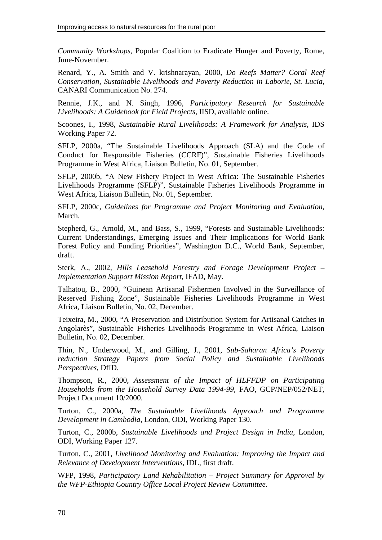*Community Workshops*, Popular Coalition to Eradicate Hunger and Poverty, Rome, June-November.

Renard, Y., A. Smith and V. krishnarayan, 2000, *Do Reefs Matter? Coral Reef Conservation, Sustainable Livelihoods and Poverty Reduction in Laborie, St. Lucia*, CANARI Communication No. 274.

Rennie, J.K., and N. Singh, 1996, *Participatory Research for Sustainable Livelihoods: A Guidebook for Field Projects*, IISD, available online.

Scoones, I., 1998, *Sustainable Rural Livelihoods: A Framework for Analysis*, IDS Working Paper 72.

SFLP, 2000a, "The Sustainable Livelihoods Approach (SLA) and the Code of Conduct for Responsible Fisheries (CCRF)", Sustainable Fisheries Livelihoods Programme in West Africa, Liaison Bulletin, No. 01, September.

SFLP, 2000b, "A New Fishery Project in West Africa: The Sustainable Fisheries Livelihoods Programme (SFLP)", Sustainable Fisheries Livelihoods Programme in West Africa, Liaison Bulletin, No. 01, September.

SFLP, 2000c, *Guidelines for Programme and Project Monitoring and Evaluation*, March.

Stepherd, G., Arnold, M., and Bass, S., 1999, "Forests and Sustainable Livelihoods: Current Understandings, Emerging Issues and Their Implications for World Bank Forest Policy and Funding Priorities", Washington D.C., World Bank, September, draft.

Sterk, A., 2002, *Hills Leasehold Forestry and Forage Development Project – Implementation Support Mission Report*, IFAD, May.

Talhatou, B., 2000, "Guinean Artisanal Fishermen Involved in the Surveillance of Reserved Fishing Zone", Sustainable Fisheries Livelihoods Programme in West Africa, Liaison Bulletin, No. 02, December.

Teixeira, M., 2000, "A Preservation and Distribution System for Artisanal Catches in Angolarès", Sustainable Fisheries Livelihoods Programme in West Africa, Liaison Bulletin, No. 02, December.

Thin, N., Underwood, M., and Gilling, J., 2001, *Sub-Saharan Africa's Poverty reduction Strategy Papers from Social Policy and Sustainable Livelihoods Perspectives*, DfID.

Thompson, R., 2000, *Assessment of the Impact of HLFFDP on Participating Households from the Household Survey Data 1994-99*, FAO, GCP/NEP/052/NET, Project Document 10/2000.

Turton, C., 2000a, *The Sustainable Livelihoods Approach and Programme Development in Cambodia*, London, ODI, Working Paper 130.

Turton, C., 2000b, *Sustainable Livelihoods and Project Design in India*, London, ODI, Working Paper 127.

Turton, C., 2001, *Livelihood Monitoring and Evaluation: Improving the Impact and Relevance of Development Interventions*, IDL, first draft.

WFP, 1998, *Participatory Land Rehabilitation – Project Summary for Approval by the WFP-Ethiopia Country Office Local Project Review Committee*.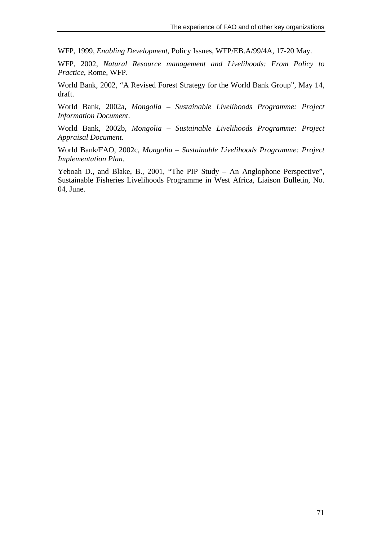WFP, 1999, *Enabling Development*, Policy Issues, WFP/EB.A/99/4A, 17-20 May.

WFP, 2002, *Natural Resource management and Livelihoods: From Policy to Practice*, Rome, WFP.

World Bank, 2002, "A Revised Forest Strategy for the World Bank Group", May 14, draft.

World Bank, 2002a, *Mongolia – Sustainable Livelihoods Programme: Project Information Document*.

World Bank, 2002b, *Mongolia – Sustainable Livelihoods Programme: Project Appraisal Document*.

World Bank/FAO, 2002c, *Mongolia – Sustainable Livelihoods Programme: Project Implementation Plan*.

Yeboah D., and Blake, B., 2001, "The PIP Study – An Anglophone Perspective", Sustainable Fisheries Livelihoods Programme in West Africa, Liaison Bulletin, No. 04, June.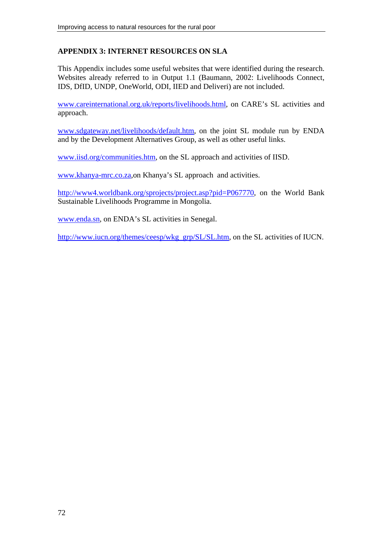# **APPENDIX 3: INTERNET RESOURCES ON SLA**

This Appendix includes some useful websites that were identified during the research. Websites already referred to in Output 1.1 (Baumann, 2002: Livelihoods Connect, IDS, DfID, UNDP, OneWorld, ODI, IIED and Deliveri) are not included.

www.careinternational.org.uk/reports/livelihoods.html, on CARE's SL activities and approach.

www.sdgateway.net/livelihoods/default.htm, on the joint SL module run by ENDA and by the Development Alternatives Group, as well as other useful links.

www.iisd.org/communities.htm, on the SL approach and activities of IISD.

www.khanya-mrc.co.za,on Khanya's SL approach and activities.

http://www4.worldbank.org/sprojects/project.asp?pid=P067770, on the World Bank Sustainable Livelihoods Programme in Mongolia.

www.enda.sn, on ENDA's SL activities in Senegal.

http://www.iucn.org/themes/ceesp/wkg\_grp/SL/SL.htm, on the SL activities of IUCN.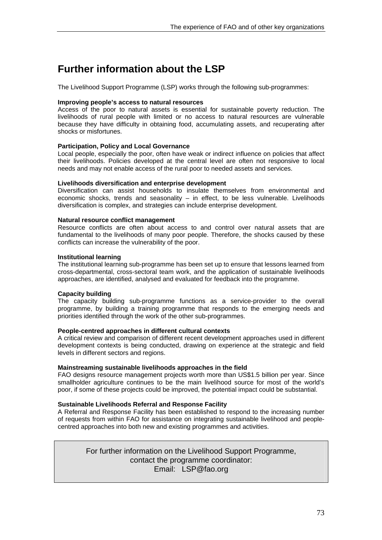# **Further information about the LSP**

The Livelihood Support Programme (LSP) works through the following sub-programmes:

#### **Improving people's access to natural resources**

Access of the poor to natural assets is essential for sustainable poverty reduction. The livelihoods of rural people with limited or no access to natural resources are vulnerable because they have difficulty in obtaining food, accumulating assets, and recuperating after shocks or misfortunes.

#### **Participation, Policy and Local Governance**

Local people, especially the poor, often have weak or indirect influence on policies that affect their livelihoods. Policies developed at the central level are often not responsive to local needs and may not enable access of the rural poor to needed assets and services.

#### **Livelihoods diversification and enterprise development**

Diversification can assist households to insulate themselves from environmental and economic shocks, trends and seasonality  $-$  in effect, to be less vulnerable. Livelihoods diversification is complex, and strategies can include enterprise development.

#### **Natural resource conflict management**

Resource conflicts are often about access to and control over natural assets that are fundamental to the livelihoods of many poor people. Therefore, the shocks caused by these conflicts can increase the vulnerability of the poor.

#### **Institutional learning**

The institutional learning sub-programme has been set up to ensure that lessons learned from cross-departmental, cross-sectoral team work, and the application of sustainable livelihoods approaches, are identified, analysed and evaluated for feedback into the programme.

#### **Capacity building**

The capacity building sub-programme functions as a service-provider to the overall programme, by building a training programme that responds to the emerging needs and priorities identified through the work of the other sub-programmes.

#### **People-centred approaches in different cultural contexts**

A critical review and comparison of different recent development approaches used in different development contexts is being conducted, drawing on experience at the strategic and field levels in different sectors and regions.

#### **Mainstreaming sustainable livelihoods approaches in the field**

FAO designs resource management projects worth more than US\$1.5 billion per year. Since smallholder agriculture continues to be the main livelihood source for most of the world's poor, if some of these projects could be improved, the potential impact could be substantial.

#### **Sustainable Livelihoods Referral and Response Facility**

A Referral and Response Facility has been established to respond to the increasing number of requests from within FAO for assistance on integrating sustainable livelihood and peoplecentred approaches into both new and existing programmes and activities.

> For further information on the Livelihood Support Programme, contact the programme coordinator: Email: LSP@fao.org